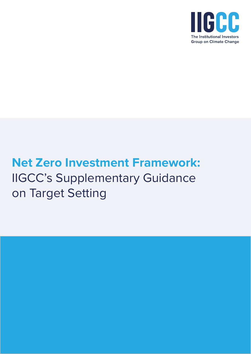

# **Net Zero Investment Framework:** IIGCC's Supplementary Guidance on Target Setting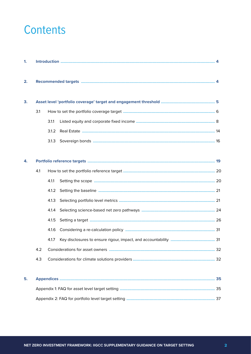# **Contents**

| 1. |     |       |  |  |  |  |
|----|-----|-------|--|--|--|--|
| 2. |     |       |  |  |  |  |
| 3. |     |       |  |  |  |  |
|    | 3.1 |       |  |  |  |  |
|    |     | 3.1.1 |  |  |  |  |
|    |     | 3.1.2 |  |  |  |  |
|    |     | 3.1.3 |  |  |  |  |
| 4. |     |       |  |  |  |  |
|    | 4.1 |       |  |  |  |  |
|    |     | 4.1.1 |  |  |  |  |
|    |     | 4.1.2 |  |  |  |  |
|    |     | 4.1.3 |  |  |  |  |
|    |     | 4.1.4 |  |  |  |  |
|    |     | 4.1.5 |  |  |  |  |
|    |     | 4.1.6 |  |  |  |  |
|    |     | 4.1.7 |  |  |  |  |
|    | 4.2 |       |  |  |  |  |
|    | 4.3 |       |  |  |  |  |
| 5. |     |       |  |  |  |  |
|    |     |       |  |  |  |  |
|    |     |       |  |  |  |  |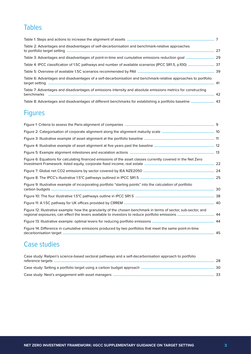# Tables

| Table 2: Advantages and disadvantages of self-decarbonisation and benchmark-relative approaches                |  |
|----------------------------------------------------------------------------------------------------------------|--|
|                                                                                                                |  |
|                                                                                                                |  |
|                                                                                                                |  |
| Table 6: Advantages and disadvantages of a self-decarbonisation and benchmark-relative approaches to portfolio |  |
| Table 7: Advantages and disadvantages of emissions intensity and absolute emissions metrics for constructing   |  |
|                                                                                                                |  |

# Figures

| Figure 6: Equations for calculating financed emissions of the asset classes currently covered in the Net Zero    |  |
|------------------------------------------------------------------------------------------------------------------|--|
|                                                                                                                  |  |
|                                                                                                                  |  |
| Figure 9: Illustrative example of incorporating portfolio "starting points" into the calculation of portfolio    |  |
|                                                                                                                  |  |
|                                                                                                                  |  |
| Figure 12: Illustrative example: how the granularity of the chosen benchmark in terms of sector, sub-sector, and |  |
|                                                                                                                  |  |
| Figure 14: Difference in cumulative emissions produced by two portfolios that meet the same point-in-time        |  |

# Case studies

| Case study: Railpen's science-based sectoral pathways and a self-decarbonisation approach to portfolio |  |
|--------------------------------------------------------------------------------------------------------|--|
|                                                                                                        |  |
|                                                                                                        |  |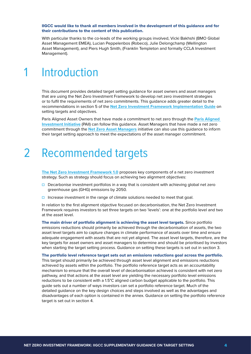IIGCC would like to thank all members involved in the development of this guidance and for their contributions to the content of this publication.

With particular thanks to the co-leads of the working groups involved, Vicki Bakhshi (BMO Global Asset Management EMEA), Lucian Peppelenbos (Robeco), Julie Delongchamp (Wellington Asset Management), and Piers Hugh Smith, (Franklin Templeton and formally CCLA Investment Management).

# 1 Introduction

This document provides detailed target setting guidance for asset owners and asset managers that are using the Net Zero Investment Framework to develop net zero investment strategies or to fulfil the requirements of net zero commitments. This guidance adds greater detail to the recommendations in section 5 of the **[Net Zero Investment Framework Implementation Guide](https://www.parisalignedinvestment.org/media/2021/03/PAII_Net-Zero-Investment-Framework-1.0_Implementation-Guide.pdf)** on setting targets and objectives.

Paris Aligned Asset Owners that have made a commitment to net zero through the **[Paris Aligned](https://www.parisalignedinvestment.org/)  [Investment Initiative](https://www.parisalignedinvestment.org/)** (PAII) can follow this guidance. Asset Managers that have made a net zero commitment through the **[Net Zero Asset Managers](https://www.netzeroassetmanagers.org/)** initiative can also use this guidance to inform their target setting approach to meet the expectations of the asset manager commitment.

# 2 Recommended targets

**[The Net Zero Investment Framework 1.0](https://www.parisalignedinvestment.org/media/2021/10/Net_Zero_Investment_Framework_final.pdf )** proposes key components of a net zero investment strategy. Such as strategy should focus on achieving two alignment objectives:

- **□** Decarbonise investment portfolios in a way that is consistent with achieving global net zero greenhouse gas (GHG) emissions by 2050.
- **☐** Increase investment in the range of climate solutions needed to meet that goal.

In relation to the first alignment objective focused on decarbonisation, the Net Zero Investment Framework requires investors to set three targets on two 'levels': one at the portfolio level and two at the asset level.

The main driver of portfolio alignment is achieving the asset level targets. Since portfolio emissions reductions should primarily be achieved through the decarbonisation of assets, the two asset level targets aim to capture changes in climate performance of assets over time and ensure adequate engagement with assets that are not yet aligned. The asset level targets, therefore, are the key targets for asset owners and asset managers to determine and should be prioritised by investors when starting the target setting process. Guidance on setting these targets is set out in section 3.

The portfolio level reference target sets out an emissions reductions goal across the portfolio. This target should primarily be achieved through asset level alignment and emissions reductions achieved by assets within the portfolio. The portfolio reference target acts as an accountability mechanism to ensure that the overall level of decarbonisation achieved is consistent with net zero pathway, and that actions at the asset level are yielding the necessary portfolio level emissions reductions to be consistent with a 1.5°C aligned carbon budget applicable to the portfolio. This guide sets out a number of ways investors can set a portfolio reference target. Much of the detailed guidance on the key design choices and steps involved as well as the advantages and disadvantages of each option is contained in the annex. Guidance on setting the portfolio reference target is set out in section 4.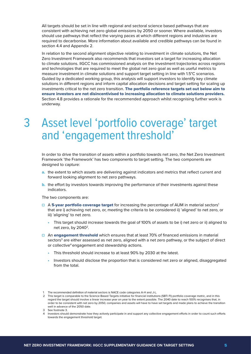All targets should be set in line with regional and sectoral science based pathways that are consistent with achieving net zero global emissions by 2050 or sooner. Where available, investors should use pathways that reflect the varying paces at which different regions and industries are required to decarbonise. More information about available and credible pathways can be found in section 4.4 and Appendix 2.

In relation to the second alignment objective relating to investment in climate solutions, the Net Zero Investment Framework also recommends that investors set a target for increasing allocation to climate solutions. IIGCC has commissioned analysis on the investment trajectories across regions and technologies that are required to meet the global net zero goal as well as useful metrics to measure investment in climate solutions and support target setting in line with 1.5°C scenarios. Guided by a dedicated working group, this analysis will support investors to identify key climate solutions in different regions and inform capital allocation decisions and target setting for scaling up investments critical to the net zero transition. The portfolio reference targets set out below aim to ensure investors are not disincentivised to increasing allocation to climate solutions providers. Section 4.8 provides a rationale for the recommended approach whilst recognising further work is underway.

3 Asset level 'portfolio coverage' target and 'engagement threshold'

In order to drive the transition of assets within a portfolio towards net zero, the Net Zero Investment Framework 'the Framework' has two components to target setting. The two components are designed to capture:

- **a.** the extent to which assets are delivering against indicators and metrics that reflect current and forward looking alignment to net zero pathways.
- **b.** the effort by investors towards improving the performance of their investments against these indicators.

The two components are:

- **□ A 5-year portfolio coverage target** for increasing the percentage of AUM in material sectors<sup>1</sup> that are i) achieving net zero, or, meeting the criteria to be considered ii) 'aligned' to net zero, or iii) 'aligning' to net zero.
	- **•** This target should increase towards the goal of 100% of assets to be i) net zero or ii) aligned to net zero, by 2040<sup>2</sup>.
- **□** An engagement threshold which ensures that at least 70% of financed emissions in material sectors<sup>3</sup> are either assessed as net zero, aligned with a net zero pathway, or the subject of direct or collective<sup>4</sup> engagement and stewardship actions.
	- **•** This threshold should increase to at least 90% by 2030 at the latest.
	- **•** Investors should disclose the proportion that is considered net zero or aligned, disaggregated from the total.

The recommended definition of material sectors is NACE code categories A-H and J-L.

<sup>2</sup> This target is comparable to the Science Based Targets initiative for financial institutions (SBTi FI) portfolio coverage metric, and in this regard the target should involve a linear increase year on year to the extent possible. The 2040 date to reach 100% recognises that, in order to be consistent with net zero by 2050, companies and assets will have to have set targets and made plans to achieve the transition well in advance of the 2050 date.

<sup>3</sup> See footnote 3.

<sup>4</sup> Investors should demonstrate how they actively participate in and support any collective engagement efforts in order to count such efforts towards the engagement threshold target.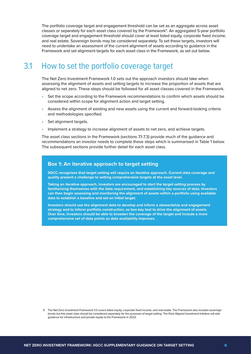The portfolio coverage target and engagement threshold can be set as an aggregate across asset classes or separately for each asset class covered by the Framework<sup>5</sup>. An aggregated 5-year portfolio coverage target and engagement threshold should cover at least listed equity, corporate fixed income, and real estate. Sovereign bonds may be considered separately. To set these targets, investors will need to undertake an assessment of the current alignment of assets according to guidance in the Framework and set alignment targets for each asset class in the Framework, as set out below.

# 3.1 How to set the portfolio coverage target

The Net Zero Investment Framework 1.0 sets out the approach investors should take when assessing the alignment of assets and setting targets to increase the proportion of assets that are aligned to net zero. These steps should be followed for all asset classes covered in the Framework.

- **•** Set the scope according to the Framework recommendations to confirm which assets should be considered within scope for alignment action and target setting.
- **•** Assess the alignment of existing and new assets using the current and forward-looking criteria and methodologies specified.
- **•** Set alignment targets.
- **•** Implement a strategy to increase alignment of assets to net zero, and achieve targets.

The asset class sections in the Framework (sections 7.1-7.3) provide much of the guidance and recommendations an investor needs to complete these steps which is summarised in Table 1 below. The subsequent sections provide further detail for each asset class.

# **Box 1: An iterative approach to target setting**

**IIGCC recognises that target setting will require an iterative approach. Current data coverage and quality present a challenge to setting comprehensive targets at the asset level.** 

**Taking an iterative approach, investors are encouraged to start the target setting process by familiarising themselves with the data requirement, and establishing key sources of data, Investors can then begin assessing and monitoring the alignment of assets within a portfolio using available data to establish a baseline and set an initial target.**

**Investors should use the alignment data to develop and inform a stewardship and engagement strategy and to inform portfolio construction, as two key tool to drive the alignment of assets. Over time, investors should be able to broaden the coverage of the target and include a more comprehensive set of data points as data availability improves.**

<sup>5</sup> The Net Zero Investment Framework 1.0 covers listed equity, corporate fixed income, and real estate. The Framework also includes sovereign bonds but this asset class should be considered separately for the purposes of target setting. The Paris Aligned Investment Initiative will add guidance for infrastructure and private equity to the Framework in 2022.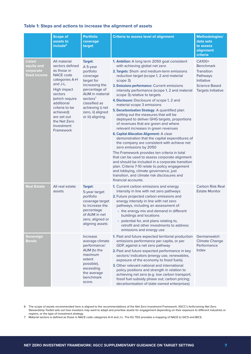### **Table 1: Steps and actions to increase the alignment of assets**

|                                                          | <b>Scope of</b><br>assets to<br>include <sup>6</sup>                                                                                                                                                                                                | <b>Portfolio</b><br>coverage<br>target                                                                                                                                                                                         | <b>Criteria to assess level of alignment</b>                                                                                                                                                                                                                                                                                                                                                                                                                                                                                                                                                                                                                                                                                                                                                                                                                                                                                                                                                                                                                                                                                              | Methodologies/<br>data sets<br>to assess<br>alignment<br>criteria                                                |
|----------------------------------------------------------|-----------------------------------------------------------------------------------------------------------------------------------------------------------------------------------------------------------------------------------------------------|--------------------------------------------------------------------------------------------------------------------------------------------------------------------------------------------------------------------------------|-------------------------------------------------------------------------------------------------------------------------------------------------------------------------------------------------------------------------------------------------------------------------------------------------------------------------------------------------------------------------------------------------------------------------------------------------------------------------------------------------------------------------------------------------------------------------------------------------------------------------------------------------------------------------------------------------------------------------------------------------------------------------------------------------------------------------------------------------------------------------------------------------------------------------------------------------------------------------------------------------------------------------------------------------------------------------------------------------------------------------------------------|------------------------------------------------------------------------------------------------------------------|
| <b>Listed</b><br>equity and<br>corporate<br>fixed income | All material<br>sectors defined<br>as those in<br><b>NACE</b> code<br>categories A-H<br>and J-L.<br>High impact<br>sectors<br>(which require<br>additional<br>criteria to be<br>achieved)<br>are set out<br>the Net Zero<br>Investment<br>Framework | Target:<br>A 5-year<br>portfolio<br>coverage<br>target for<br>increasing the<br>percentage of<br><b>AUM</b> in material<br>sectors <sup>7</sup><br>classified as<br>achieving i) net<br>zero, ii) aligned<br>or iii) aligning. | 1. Ambition: A long term 2050 goal consistent<br>with achieving global net zero<br>2. Targets: Short- and medium-term emissions<br>reduction target (scope 1, 2 and material<br>scope 3)<br>3. Emissions performance: Current emissions<br>intensity performance (scope 1, 2 and material<br>scope 3) relative to targets<br>4. Disclosure: Disclosure of scope 1, 2 and<br>material scope 3 emissions<br>5. Decarbonisation Strategy: A quantified plan<br>setting out the measures that will be<br>deployed to deliver GHG targets, proportions<br>of revenues that are green and where<br>relevant increases in green revenues<br><b>6. Capital Allocation Alignment: A clear</b><br>demonstration that the capital expenditures of<br>the company are consistent with achieve net<br>zero emissions by 2050<br>The Framework provides ten criteria in total<br>that can be used to assess corporate alignment<br>and should be included in a corporate transition<br>plan. Criteria 7-10 relate to policy engagement<br>and lobbying, climate governance, just<br>transition, and climate risk disclosures and<br>financial accounts. | CA100+<br><b>Benchmark</b><br>Transition<br>Pathways<br>Initiative<br><b>Science Based</b><br>Targets Initiative |
| <b>Real Estate</b>                                       | All real estate<br>assets                                                                                                                                                                                                                           | Target:<br>5-year target<br>portfolio<br>coverage target<br>to increase the<br>percentage<br>of AUM in net<br>zero, aligned or<br>aligning assets                                                                              | 1. Current carbon emissions and energy<br>intensity in line with net zero pathways<br>2. Future projected carbon emissions and<br>energy intensity in line with net zero<br>pathways, including an assessment of:<br>• the energy mix and demand in different<br>buildings and locations<br>• potential for, and plans relating to,<br>retrofit and other investments to address<br>emissions and energy use                                                                                                                                                                                                                                                                                                                                                                                                                                                                                                                                                                                                                                                                                                                              | Carbon Risk Real<br><b>Estate Monitor</b>                                                                        |
| Sovereign<br><b>Bonds</b>                                |                                                                                                                                                                                                                                                     | Increase<br>average climate<br>performance/<br>AUM (to the<br>maximum<br>extent<br>possible),<br>exceeding<br>the average<br>benchmark<br>score.                                                                               | 1. Past and future expected territorial production<br>emissions performance per capita, or per<br>GDP, against a net zero pathway<br>2. Past and future expected performance in key<br>sectors/indicators (energy use, renewables,<br>exposure of the economy to fossil fuels).<br>3. Other relevant national and international<br>policy positions and strength in relation to<br>achieving net zero (e.g. low carbon transport;<br>fossil fuel subsidy phase out; carbon pricing;<br>decarbonisation of state owned enterprises)                                                                                                                                                                                                                                                                                                                                                                                                                                                                                                                                                                                                        | Germanwatch<br><b>Climate Change</b><br>Performance<br>Index                                                     |

6 The scope of assets recommended here is aligned to the recommendations of the Net Zero Investment Framework. IIGCC's forthcoming Net Zero Stewardship Toolkit sets out how investors may want to adapt and prioritise assets for engagement depending on their exposure to different industries or regions, or the type of investment strategy.

7 Material sectors is defined as those in NACE code categories A-H and J-L. The EU TEG provides a mapping of NACE to GICS and BICS.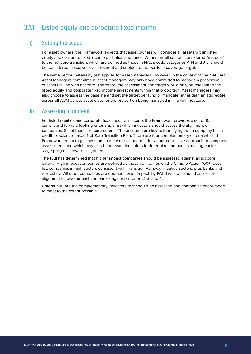# 3.1.1 Listed equity and corporate fixed income

# i) Setting the scope

For asset owners, the Framework expects that asset owners will consider all assets within listed equity and corporate fixed income portfolios and funds. Within this all sectors considered "material" to the net zero transition, which are defined as those in NACE code categories A-H and J-L, should be considered in scope for assessment and subject to the portfolio coverage target.

The same sector materiality test applies for asset managers. However, in the context of the Net Zero Asset Managers commitment, asset managers may only have committed to manage a proportion of assets in line with net zero. Therefore, the assessment and target would only be relevant to the listed equity and corporate fixed income investments within that proportion. Asset managers may also choose to assess the baseline and set the target per fund or mandate rather than an aggregate across all AUM across asset class for the proportion being managed in line with net zero.

# ii) Assessing alignment

For listed equities and corporate fixed income in scope, the Framework provides a set of 10 current and forward looking criteria against which investors should assess the alignment of companies. Six of these are core criteria. These criteria are key to identifying that a company has a credible, science-based Net Zero Transition Plan. There are four complementary criteria which the Framework encourages investors to measure as part of a fully comprehensive approach to company assessment, and which may also be relevant indicators to determine companies making earlier stage progress towards alignment.

The PAII has determined that higher impact companies should be assessed against all six core criteria. High impact companies are defined as those companies on the Climate Action 100+ focus list, companies in high sectors consistent with Transition Pathway Initiative sectors, plus banks and real estate. All other companies are deemed 'lower impact' by PAII. Investors should assess the alignment of lower impact companies against criterion 2, 3, and 4.

Criteria 7-10 are the complementary indicators that should be assessed and companies encouraged to meet to the extent possible.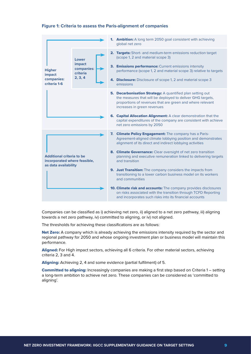#### **Figure 1: Criteria to assess the Paris-alignment of companies**

|                                                                  |                                  | 1. Ambition: A long term 2050 goal consistent with achieving<br>global net zero                                                                                                                                      |  |  |
|------------------------------------------------------------------|----------------------------------|----------------------------------------------------------------------------------------------------------------------------------------------------------------------------------------------------------------------|--|--|
|                                                                  | Lower                            | 2. Targets: Short- and medium-term emissions reduction target<br>(scope 1, 2 and material scope 3)                                                                                                                   |  |  |
| <b>Higher</b><br>impact                                          | impact<br>companies:<br>criteria | 3. Emissions performance: Current emissions intensity<br>performance (scope 1, 2 and material scope 3) relative to targets                                                                                           |  |  |
| companies:<br>criteria 1-6                                       | 2, 3, 4                          | 4. Disclosure: Disclosure of scope 1, 2 and material scope 3<br>emissions                                                                                                                                            |  |  |
|                                                                  |                                  | 5. Decarbonisation Strategy: A quantified plan setting out<br>the measures that will be deployed to deliver GHG targets,<br>proportions of revenues that are green and where relevant<br>increases in green revenues |  |  |
|                                                                  |                                  | 6. Capital Allocation Alignment: A clear demonstration that the<br>capital expenditures of the company are consistent with achieve<br>net zero emissions by 2050                                                     |  |  |
| <b>Additional criteria to be</b><br>incorporated where feasible, |                                  | <b>Climate Policy Engagement:</b> The company has a Paris-<br>7.<br>Agreement-aligned climate lobbying position and demonstrates<br>alignment of its direct and indirect lobbying activities                         |  |  |
|                                                                  |                                  | 8. Climate Governance: Clear oversight of net zero transition<br>planning and executive remuneration linked to delivering targets<br>and transition                                                                  |  |  |
| as data availability                                             |                                  | <b>9. Just Transition:</b> The company considers the impacts from<br>transitioning to a lower carbon business model on its workers<br>and communities                                                                |  |  |
|                                                                  |                                  | <b>10. Climate risk and accounts:</b> The company provides disclosures<br>on risks associated with the transition through TCFD Reporting<br>and incorporates such risks into its financial accounts                  |  |  |

Companies can be classified as i) achieving net zero, ii) aligned to a net zero pathway, iii) aligning towards a net zero pathway, iv) committed to aligning, or iv) not aligned.

The thresholds for achieving these classifications are as follows:

Net Zero: A company which is already achieving the emissions intensity required by the sector and regional pathway for 2050 and whose ongoing investment plan or business model will maintain this performance.

Aligned: For High impact sectors, achieving all 6 criteria. For other material sectors, achieving criteria 2, 3 and 4.

Aligning: Achieving 2, 4 and some evidence (partial fulfilment) of 5.

Committed to aligning: Increasingly companies are making a first step based on Criteria 1 – setting a long-term ambition to achieve net zero. These companies can be considered as 'committed to aligning'.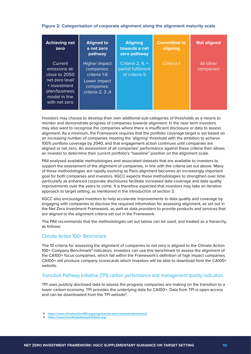#### **Figure 2: Categorisation of corporate alignment along the alignment maturity scale**

| <b>Achieving net</b><br>zero                                                                                                   | <b>Aligned to</b><br>a net zero<br>pathway                                                    | <b>Aligning</b><br>towards a net<br>zero pathway          | <b>Committed to</b><br>aligning | <b>Not aligned</b>     |
|--------------------------------------------------------------------------------------------------------------------------------|-----------------------------------------------------------------------------------------------|-----------------------------------------------------------|---------------------------------|------------------------|
| Current<br>emissions at/<br>close to 2050<br>net zero level<br>+ investment<br>plan/business<br>model in line<br>with net zero | Higher impact<br>companies:<br>criteria 1-6<br>Lower impact<br>companies:<br>criteria 2, 3, 4 | Criteria 2, $4, +$<br>partial fulfilment<br>of criteria 5 | Criteria 1                      | All other<br>companies |

Investors may choose to develop their own additional sub-categories of thresholds as a means to monitor and demonstrate progress of companies towards alignment. In the near term investors may also want to recognise the companies where there is insufficient disclosure or data to assess alignment. As a minimum, the Framework requires that the portfolio coverage target is set based on an increasing number of companies meeting the 'aligning' threshold with the ambition to achieve 100% portfolio coverage by 2040, and that engagement action continues until companies are aligned or net zero. An assessment of all companies' performance against these criteria then allows an investor to determine their current portfolio's "baseline" position on the alignment scale.

PAII analysed available methodologies and associated datasets that are available to investors to support the assessment of the alignment of companies, in line with the criteria set out above. Many of these methodologies are rapidly evolving as Paris alignment becomes an increasingly important goal for both companies and investors. IIGCC expects these methodologies to strengthen over time, particularly as enhanced corporate disclosures facilitate increased data coverage and data quality improvements over the years to come. It is therefore expected that investors may take an iterative approach to target setting, as mentioned in the introduction of section 3.

IIGCC also encourages investors to help accelerate improvements to data quality and coverage by engaging with companies to disclose the required information for assessing alignment, as set out in the Net Zero Investment Framework, as well as data providers to provide products and services that are aligned to the alignment criteria set out in the Framework.

The PAII recommends that the methodologies set out below can be used, and treated as a hierarchy, as follows:

### Climate Action 100+ Benchmark

The 10 criteria for assessing the alignment of companies to net zero is aligned to the Climate Action 100+ Company Benchmark<sup>8</sup> indicators. Investors can use this benchmark to assess the alignment of the CA100+ focus companies, which fall within the Framework's definition of high impact companies. CA100+ will produce company scorecards which investors will be able to download from the CA100+ website.

### Transition Pathway Initiative (TPI) carbon performance and management quality indicators

TPI uses publicly disclosed data to assess the progress companies are making on the transition to a lower carbon economy. TPI provides the underlying data for CA100+. Data from TPI is open-access and can be downloaded from the TPI website $^9$ .

<sup>8</sup> **https://www.climateaction100.org/progress/net-zero-company-benchmark/**

<sup>9</sup> **https://www.transitionpathwayinitiative.org/**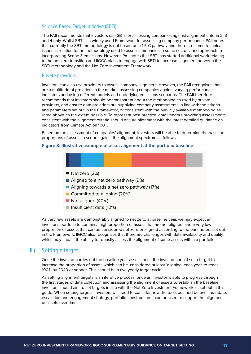## Science Based Target Initiative (SBTi)

The PAII recommends that investors use SBTi for assessing companies against alignment criteria 2, 3 and 4 only. Whilst SBTi is a widely used Framework for assessing company performance, PAII notes that currently the SBTi methodology is not based on a 1.5°C pathway and there are some technical issues in relation to the methodology used to assess companies in some sectors, and approach to incorporating Scope 3 emissions. However, PAII notes that SBTi has started additional work relating to the net zero transition and IIGCC plans to engage with SBTi to increase alignment between the SBTi methodology and the Net Zero Investment Framework.

#### Private providers

Investors can also use providers to assess company alignment. However, the PAII recognises that are a multitude of providers in the market, assessing companies against varying performance indicators and using different models and underlying emissions scenarios. The PAII therefore recommends that investors should be transparent about the methodologies used by private providers, and ensure data providers are supplying company assessments in line with the criteria and parameters set out in the Framework, or consistent with the publicly available methodologies listed above, to the extent possible. To represent best practice, data vendors providing assessments consistent with the alignment criteria should ensure alignment with the latest detailed guidance on indicators from Climate Action 100+.

Based on the assessment of companies' alignment, investors will be able to determine the baseline proportions of assets in scope against the alignment spectrum as follows:

#### **Figure 3: Illustrative example of asset alignment at the portfolio baseline**



- **Aligning towards a net zero pathway (17%)**
- Committed to aligning (20%)
- Not aligned (40%)
- $\blacksquare$  Insufficient data (12%)

As very few assets are demonstrably aligned to net zero, at baseline year, we may expect an investor's portfolio to contain a high proportion of assets that are not aligned, and a very low proportion of assets that can be considered net zero or aligned according to the parameters set out in the Framework. IIGCC also recognises that there are challenges with data availability and quality which may impact the ability to robustly assess the alignment of some assets within a portfolio.

# iii) Setting a target

Once the investor carries out the baseline year assessment, the investor should set a target to increase the proportion of assets which can be. considered at least 'aligning' each year, to reach 100% by 2040 or sooner. This should be a five yearly target cycle.

As setting alignment targets is an iterative process, once an investor is able to progress through the first stages of data collection and assessing the alignment of assets to establish the baseline, investors should aim to set targets in line with the Net Zero Investment Framework as set out in this guide. When setting targets, investors will need to consider how the tools outlined below – mandate, escalation and engagement strategy, portfolio construction – can be used to support the alignment of assets over time.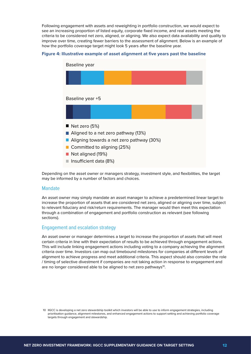Following engagement with assets and reweighting in portfolio construction, we would expect to see an increasing proportion of listed equity, corporate fixed income, and real assets meeting the criteria to be considered net zero, aligned, or aligning. We also expect data availability and quality to improve over time, creating fewer barriers to the assessment of alignment. Below is an example of how the portfolio coverage target might look 5 years after the baseline year.

#### **Figure 4: Illustrative example of asset alignment at five years past the baseline**



Depending on the asset owner or managers strategy, investment style, and flexibilities, the target may be informed by a number of factors and choices.

#### Mandate

An asset owner may simply mandate an asset manager to achieve a predetermined linear target to increase the proportion of assets that are considered net zero, aligned or aligning over time, subject to relevant fiduciary and risk/return requirements. The manager would then meet this expectation through a combination of engagement and portfolio construction as relevant (see following sections).

#### Engagement and escalation strategy

An asset owner or manager determines a target to increase the proportion of assets that will meet certain criteria in line with their expectation of results to be achieved through engagement actions. This will include linking engagement actions including voting to a company achieving the alignment criteria over time. Investors can map out timebound milestones for companies at different levels of alignment to achieve progress and meet additional criteria. This aspect should also consider the role / timing of selective divestment if companies are not taking action in response to engagement and are no longer considered able to be aligned to net zero pathways<sup>10</sup>.

10 IIGCC is developing a net zero stewardship toolkit which investors will be able to use to inform engagement strategies, including prioritisation guidance, alignment milestones, and enhanced engagement actions to support setting and achieving portfolio coverage targets through engagement and stewardship.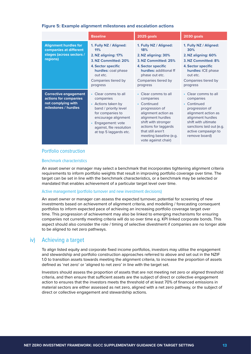|                                                                                                     | <b>Baseline</b>                                                                                                                                                                                       | 2025 goals                                                                                                                                                                                                                          | 2030 goals                                                                                                                                                                                                |
|-----------------------------------------------------------------------------------------------------|-------------------------------------------------------------------------------------------------------------------------------------------------------------------------------------------------------|-------------------------------------------------------------------------------------------------------------------------------------------------------------------------------------------------------------------------------------|-----------------------------------------------------------------------------------------------------------------------------------------------------------------------------------------------------------|
| <b>Alignment hurdles for</b><br>companies at different<br>stages (across sectors /<br>regions)      | 1. Fully NZ / Aligned:<br>11%<br>2. NZ aligning: 17%<br>3. NZ Committed: 20%<br>4. Sector specific<br>hurdles: coal phase<br>out etc.<br>Companies tiered by<br>progress                              | 1. Fully NZ / Aligned:<br>18%<br>2. NZ aligning: 30%<br>3. NZ Committed: 25%<br>4. Sector specific<br>hurdles: additional ff<br>phase out etc.<br>Companies tiered by<br>progress                                                   | 1. Fully NZ / Aligned:<br>30%<br>2. NZ aligning: 60%<br>3. NZ Committed: 8%<br>4. Sector specific<br>hurdles: ICE phase<br>out etc.<br>Companies tiered by<br>progress                                    |
| <b>Corrective engagement</b><br>actions for companies<br>not complying with<br>milestones / hurdles | • Clear comms to all<br>companies<br>• Actions taken by<br>band / priority level<br>for companies to<br>encourage alignment<br>Engagement: vote<br>against, file resolution<br>at top 5 laggards etc. | • Clear comms to all<br>companies<br>• Continued<br>progression of<br>alignment action as<br>alignment hurdles<br>shift with stronger<br>actions for laggards<br>that still aren't<br>meeting baseline (e.g.<br>vote against chair) | • Clear comms to all<br>companies<br>• Continued<br>progression of<br>alignment action as<br>alignment hurdles<br>shift with ultimate<br>sanctions laid out (e.g.<br>active campaaign to<br>remove board) |

### Portfolio construction

#### Benchmark characteristics

An asset owner or manager may select a benchmark that incorporates tightening alignment criteria requirements to inform portfolio weights that result in improving portfolio coverage over time. The target can be set in line with the benchmark characteristics, or a benchmark may be selected or mandated that enables achievement of a particular target level over time.

#### Active management (portfolio turnover and new investment decisions)

An asset owner or manager can assess the expected turnover, potential for screening of new investments based on achievement of alignment criteria, and modelling / forecasting consequent portfolios to inform expected pace of achieving an increasing portfolio coverage target over time. This progression of achievement may also be linked to emerging mechanisms for ensuring companies not currently meeting criteria will do so over time e.g. KPI linked corporate bonds. This aspect should also consider the role / timing of selective divestment if companies are no longer able to be aligned to net zero pathways.

# iv) Achieving a target

To align listed equity and corporate fixed income portfolios, investors may utilise the engagement and stewardship and portfolio construction approaches referred to above and set out in the NZIF 1.0 to transition assets towards meeting the alignment criteria, to increase the proportion of assets defined as 'net zero' or 'aligned to net zero' in line with the target set.

Investors should assess the proportion of assets that are not meeting net zero or aligned threshold criteria, and then ensure that sufficient assets are the subject of direct or collective engagement action to ensures that the investors meets the threshold of at least 70% of financed emissions in material sectors are either assessed as net zero, aligned with a net zero pathway, or the subject of direct or collective engagement and stewardship actions.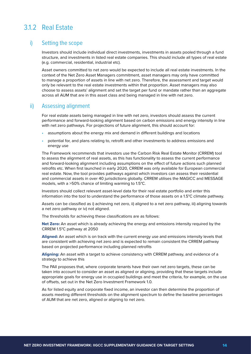# 3.1.2 Real Estate

# i) Setting the scope

Investors should include individual direct investments, investments in assets pooled through a fund structure, and investments in listed real estate companies. This should include all types of real estate (e.g. commercial, residential, industrial etc).

Asset owners committed to net zero would be expected to include all real estate investments. In the context of the Net Zero Asset Managers commitment, asset managers may only have committed to manage a proportion of assets in line with net zero. Therefore, the assessment and target would only be relevant to the real estate investments within that proportion. Asset managers may also choose to assess assets' alignment and set the target per fund or mandate rather than an aggregate across all AUM that are in this asset class and being managed in line with net zero.

# ii) Assessing alignment

For real estate assets being managed in line with net zero, investors should assess the current performance and forward-looking alignment based on carbon emissions and energy intensity in line with net zero pathways. For projections of future alignment, this should account for:

- **•** assumptions about the energy mix and demand in different buildings and locations
- **•** potential for, and plans relating to, retrofit and other investments to address emissions and energy use

The Framework recommends that investors use the Carbon Risk Real Estate Monitor (CRREM) tool to assess the alignment of real assets, as this has functionality to assess the current performance and forward-looking alignment including assumptions on the effect of future actions such planned retrofits etc. When first launched in early 2020, CRREM was only available for European commercial real estate. Now, the tool provides pathways against which investors can assess their residential and commercial assets in over 40 jurisdictions globally. CRREM utilises the MAGICC and MESSAGE models, with a >50% chance of limiting warming to 1.5°C.

Investors should collect relevant asset-level data for their real estate portfolio and enter this information into the tool to understand the performance of those assets on a 1.5°C climate pathway.

Assets can be classified as i) achieving net zero, ii) aligned to a net zero pathway, iii) aligning towards a net zero pathway or iv) not aligned.

The thresholds for achieving these classifications are as follows:

Net Zero: An asset which is already achieving the energy and emissions intensity required by the CRREM 1.5°C pathway at 2050

Aligned: An asset which is on track with the current energy use and emissions intensity levels that are consistent with achieving net zero and is expected to remain consistent the CRREM pathway based on projected performance including planned retrofits

Aligning: An asset with a target to achieve consistency with CRREM pathway, and evidence of a strategy to achieve this

The PAII proposes that, where corporate tenants have their own net zero targets, these can be taken into account to consider an asset as aligned or aligning, providing that these targets include appropriate goals for energy use in occupied buildings and meet the criteria, for example, on the use of offsets, set out in the Net Zero Investment Framework 1.0.

As for listed equity and corporate fixed income, an investor can then determine the proportion of assets meeting different thresholds on the alignment spectrum to define the baseline percentages of AUM that are net zero, aligned or aligning to net zero.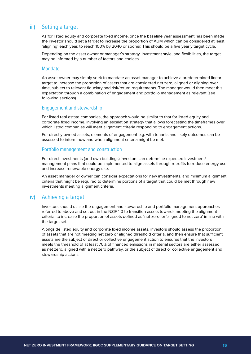# iii) Setting a target

As for listed equity and corporate fixed income, once the baseline year assessment has been made the investor should set a target to increase the proportion of AUM which can be considered at least 'aligning' each year, to reach 100% by 2040 or sooner. This should be a five yearly target cycle.

Depending on the asset owner or manager's strategy, investment style, and flexibilities, the target may be informed by a number of factors and choices.

#### Mandate

An asset owner may simply seek to mandate an asset manager to achieve a predetermined linear target to increase the proportion of assets that are considered net zero, aligned or aligning over time, subject to relevant fiduciary and risk/return requirements. The manager would then meet this expectation through a combination of engagement and portfolio management as relevant (see following sections)

### Engagement and stewardship

For listed real estate companies, the approach would be similar to that for listed equity and corporate fixed income, involving an escalation strategy that allows forecasting the timeframes over which listed companies will meet alignment criteria responding to engagement actions.

For directly owned assets, elements of engagement e.g. with tenants and likely outcomes can be assessed to inform how and when alignment criteria might be met.

#### Portfolio management and construction

For direct investments (and own buildings) investors can determine expected investment/ management plans that could be implemented to align assets through retrofits to reduce energy use and increase renewable energy use.

An asset manager or owner can consider expectations for new investments, and minimum alignment criteria that might be required to determine portions of a target that could be met through new investments meeting alignment criteria.

# iv) Achieving a target

Investors should utilise the engagement and stewardship and portfolio management approaches referred to above and set out in the NZIF 1.0 to transition assets towards meeting the alignment criteria, to increase the proportion of assets defined as 'net zero' or 'aligned to net zero' in line with the target set.

Alongside listed equity and corporate fixed income assets, investors should assess the proportion of assets that are not meeting net zero or aligned threshold criteria, and then ensure that sufficient assets are the subject of direct or collective engagement action to ensures that the investors meets the threshold of at least 70% of financed emissions in material sectors are either assessed as net zero, aligned with a net zero pathway, or the subject of direct or collective engagement and stewardship actions.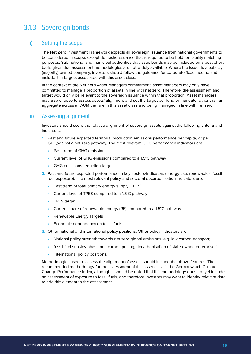# 3.1.3 Sovereign bonds

# i) Setting the scope

The Net Zero Investment Framework expects all sovereign issuance from national governments to be considered in scope, except domestic issuance that is required to be held for liability matching purposes. Sub-national and municipal authorities that issue bonds may be included on a best effort basis given that assessment methodologies are not widely available. Where the issuer is a publicly (majority) owned company, investors should follow the guidance for corporate fixed income and include it in targets associated with this asset class.

In the context of the Net Zero Asset Managers commitment, asset managers may only have committed to manage a proportion of assets in line with net zero. Therefore, the assessment and target would only be relevant to the sovereign issuance within that proportion. Asset managers may also choose to assess assets' alignment and set the target per fund or mandate rather than an aggregate across all AUM that are in this asset class and being managed in line with net zero.

# ii) Assessing alignment

Investors should score the relative alignment of sovereign assets against the following criteria and indicators.

- **1.** Past and future expected territorial production emissions performance per capita, or per GDP,against a net zero pathway. The most relevant GHG performance indicators are:
	- **•** Past trend of GHG emissions
	- **•** Current level of GHG emissions compared to a 1.5°C pathway
	- **•** GHG emissions reduction targets
- **2.** Past and future expected performance in key sectors/indicators (energy use, renewables, fossil fuel exposure). The most relevant policy and sectoral decarbonisation indicators are:
	- **•** Past trend of total primary energy supply (TPES)
	- **•** Current level of TPES compared to a 1.5°C pathway
	- **•** TPES target
	- **•** Current share of renewable energy (RE) compared to a 1.5°C pathway
	- **•** Renewable Energy Targets
	- **•** Economic dependency on fossil fuels
- **3.** Other national and international policy positions. Other policy indicators are:
	- **•** National policy strength towards net zero global emissions (e.g. low carbon transport;
	- fossil fuel subsidy phase out; carbon pricing; decarbonisation of state-owned enterprises)
	- **•** International policy positions.

Methodologies used to assess the alignment of assets should include the above features. The recommended methodology for the assessment of this asset class is the Germanwatch Climate Change Performance Index, although it should be noted that this methodology does not yet include an assessment of exposure to fossil fuels, and therefore investors may want to identify relevant data to add this element to the assessment.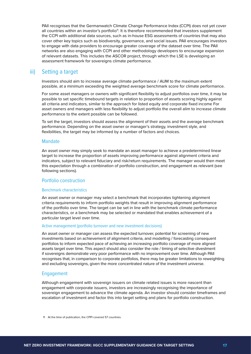PAII recognises that the Germanwatch Climate Change Performance Index (CCPI) does not yet cover all countries within an investor's portfolio<sup>11</sup>. It is therefore recommended that investors supplement the CCPI with additional data sources, such as in-house ESG assessments of countries that may also cover other key topics such as biodiversity, governance, and social issues. PAII encourages investors to engage with data providers to encourage greater coverage of the dataset over time. The PAII networks are also engaging with CCPI and other methodology developers to encourage expansion of relevant datasets. This includes the ASCOR project, through which the LSE is developing an assessment framework for sovereigns climate performance.

# iii) Setting a target

Investors should aim to increase average climate performance / AUM to the maximum extent possible, at a minimum exceeding the weighted average benchmark score for climate performance.

For some asset managers or owners with significant flexibility to adjust portfolios over time, it may be possible to set specific timebound targets in relation to proportion of assets scoring highly against all criteria and indicators, similar to the approach for listed equity and corporate fixed income For asset owners and managers with less flexibility to adjust portfolio the overall alim to increase climate performance to the extent possible can be followed.

To set the target, investors should assess the alignment of their assets and the average benchmark performance. Depending on the asset owner or manager's strategy, investment style, and flexibilities, the target may be informed by a number of factors and choices.

#### Mandate

An asset owner may simply seek to mandate an asset manager to achieve a predetermined linear target to increase the proportion of assets improving performance against alignment criteria and indicators, subject to relevant fiduciary and risk/return requirements. The manager would then meet this expectation through a combination of portfolio construction, and engagement as relevant (see following sections).

#### Portfolio construction

#### Benchmark characteristics

An asset owner or manager may select a benchmark that incorporates tightening alignment criteria requirements to inform portfolio weights that result in improving alignment performance of the portfolio over time. The target can be set in line with the benchmark climate performance characteristics, or a benchmark may be selected or mandated that enables achievement of a particular target level over time.

#### Active management (portfolio turnover and new investment decisions)

An asset owner or manager can assess the expected turnover, potential for screening of new investments based on achievement of alignment criteria, and modelling / forecasting consequent portfolios to inform expected pace of achieving an increasing portfolio coverage of more aligned assets target over time. This aspect should also consider the role / timing of selective divestment if sovereigns demonstrate very poor performance with no improvement over time. Although PAII recognises that, in comparison to corporate portfolios, there may be greater limitations to reweighting and excluding sovereigns, given the more concentrated nature of the investment universe.

#### Engagement

Although engagement with sovereign issuers on climate related issues is more nascent than engagement with corporate issuers, investors are increasingly recognising the importance of sovereign engagement to advance the climate agenda. An investor should consider timeframes and escalation of investment and factor this into target setting and plans for portfolio construction.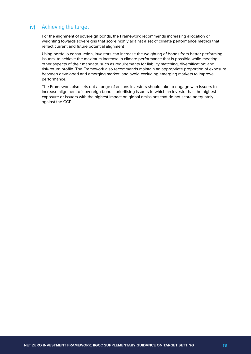# iv) Achieving the target

For the alignment of sovereign bonds, the Framework recommends increasing allocation or weighting towards sovereigns that score highly against a set of climate performance metrics that reflect current and future potential alignment

Using portfolio construction, investors can increase the weighting of bonds from better performing issuers, to achieve the maximum increase in climate performance that is possible while meeting other aspects of their mandate, such as requirements for liability matching, diversification; and risk-return profile. The Framework also recommends maintain an appropriate proportion of exposure between developed and emerging market, and avoid excluding emerging markets to improve performance.

The Framework also sets out a range of actions investors should take to engage with issuers to increase alignment of sovereign bonds, prioritising issuers to which an investor has the highest exposure or issuers with the highest impact on global emissions that do not score adequately against the CCPI.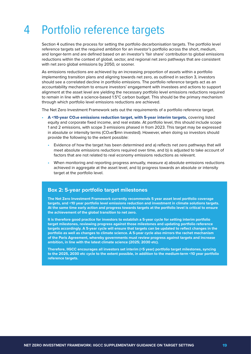# 4 Portfolio reference targets

Section 4 outlines the process for setting the portfolio decarbonisation targets. The portfolio level reference targets set the required ambition for an investor's portfolio across the short, medium, and longer-term and are defined based on an investor's 'fair share' contribution to global emissions reductions within the context of global, sector, and regional net zero pathways that are consistent with net zero global emissions by 2050, or sooner.

As emissions reductions are achieved by an increasing proportion of assets within a portfolio implementing transition plans and aligning towards net zero, as outlined in section 3, investors should see a correlated decline in portfolio emissions. The portfolio reference targets act as an accountability mechanism to ensure investors' engagement with investees and actions to support alignment at the asset level are yielding the necessary portfolio level emissions reductions required to remain in line with a science-based 1.5°C carbon budget. This should be the primary mechanism through which portfolio level emissions reductions are achieved.

The Net Zero Investment Framework sets out the requirements of a portfolio reference target.

- **•** A <10-year CO2e emissions reduction target, with 5-year interim targets, covering listed equity and corporate fixed income, and real estate. At portfolio level, this should include scope 1 and 2 emissions, with scope 3 emissions phased in from 2023. This target may be expressed in absolute or intensity terms (CO2e/\$mn invested). However, when doing so investors should provide the following to the extent possible:
	- **•** Evidence of how the target has been determined and a) reflects net zero pathways that will meet absolute emissions reductions required over time, and b) is adjusted to take account of factors that are not related to real economy emissions reductions as relevant.
	- **•** When monitoring and reporting progress annually, measure a) absolute emissions reductions achieved in aggregate at the asset level, and b) progress towards an absolute or intensity target at the portfolio level.

### **Box 2: 5-year portfolio target milestones**

**The Net Zero Investment Framework currently recommends 5 year asset level portfolio coverage targets, and <10 year portfolio level emissions reduction and investment in climate solutions targets. At the same time early action and progress towards targets at the portfolio level is critical to ensure the achievement of the global transition to net zero.** 

**It is therefore good practice for investors to establish a 5-year cycle for setting interim portfolio target milestones, reviewing progress against those milestones and updating portfolio reference targets accordingly. A 5-year cycle will ensure that targets can be updated to reflect changes in the portfolio as well as changes to climate science. A 5-year cycle also mirrors the rachet mechanism of the Paris Agreement, whereby governments must review progress against targets and increase ambition, in line with the latest climate science (2025; 2030 etc).**

**Therefore, IIGCC encourages all investors set interim (<5 year) portfolio target milestones, syncing to the 2025, 2030 etc cycle to the extent possible, in addition to the medium-term <10 year portfolio reference targets.**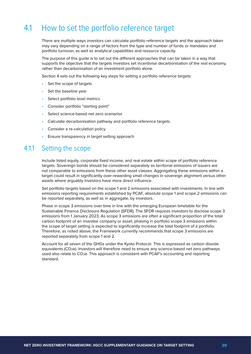# 4.1 How to set the portfolio reference target

There are multiple ways investors can calculate portfolio reference targets and the approach taken may vary depending on a range of factors from the type and number of funds or mandates and portfolio turnover, as well as analytical capabilities and resource capacity.

The purpose of this guide is to set out the different approaches that can be taken in a way that supports the objective that the targets investors set incentivise decarbonisation of the real economy, rather than decarbonisation of an investment portfolio alone.

Section 4 sets out the following key steps for setting a portfolio reference targets:

- **•** Set the scope of targets
- **•** Set the baseline year
- **•** Select portfolio level metrics
- **•** Consider portfolio "starting point"
- **•** Select science-based net zero scenarios
- **•** Calculate decarbonisation pathway and portfolio reference targets
- **•** Consider a re-calculation policy
- **•** Ensure transparency in target setting approach

# 4.1.1 Setting the scope

Include listed equity, corporate fixed income, and real estate within scope of portfolio reference targets. Sovereign bonds should be considered separately as territorial emissions of issuers are not comparable to emissions from these other asset classes. Aggregating these emissions within a target could result in significantly over-rewarding small changes in sovereign alignment versus other assets where arguably investors have more direct influence.

Set portfolio targets based on the scope 1 and 2 emissions associated with investments. In line with emissions reporting requirements established by PCAF, absolute scope 1 and scope 2 emissions can be reported separately, as well as in aggregate, by investors.

Phase in scope 3 emissions over time in line with the emerging European timetable for the Sustainable Finance Disclosure Regulation (SFDR). The SFDR requires investors to disclose scope 3 emissions from 1 January 2023. As scope 3 emissions are often a significant proportion of the total carbon footprint of an investee company or asset, phasing in portfolio scope 3 emissions within the scope of target setting is expected to significantly increase the total footprint of a portfolio. Therefore, as noted above, the Framework currently recommends that scope 3 emissions are reported separately from scope 1 and 2.

Account for all seven of the GHGs under the Kyoto Protocol. This is expressed as carbon dioxide equivalents (CO2e). Investors will therefore need to ensure any science-based net zero pathways used also relate to CO<sub>2</sub>e. This approach is consistent with PCAF's accounting and reporting standard.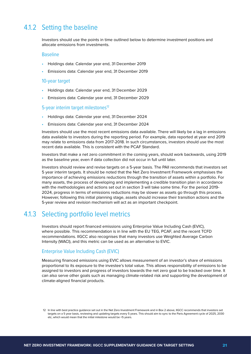# 4.1.2 Setting the baseline

Investors should use the points in time outlined below to determine investment positions and allocate emissions from investments.

#### Baseline

- **•** Holdings data: Calendar year end, 31 December 2019
- **•** Emissions data: Calendar year end, 31 December 2019

#### 10-year target

- **•** Holdings data: Calendar year end, 31 December 2029
- **•** Emissions data: Calendar year end, 31 December 2029

#### 5-year interim target milestones<sup>12</sup>

- **•** Holdings data: Calendar year end, 31 December 2024
- **•** Emissions data: Calendar year end, 31 December 2024

Investors should use the most recent emissions data available. There will likely be a lag in emissions data available to investors during the reporting period. For example, data reported at year end 2019 may relate to emissions data from 2017-2018. In such circumstances, investors should use the most recent data available. This is consistent with the PCAF Standard.

Investors that make a net zero commitment in the coming years, should work backwards, using 2019 as the baseline year, even if data collection did not occur in full until later.

Investors should review and revise targets on a 5-year basis. The PAII recommends that investors set 5 year interim targets. It should be noted that the Net Zero Investment Framework emphasises the importance of achieving emissions reductions through the transition of assets within a portfolio. For many assets, the process of developing and implementing a credible transition plan in accordance with the methodologies and actions set out in section 3 will take some time. For the period 2019- 2024, progress in terms of emissions reductions may be slower as assets go through this process. However, following this initial planning stage, assets should increase their transition actions and the 5-year review and revision mechanism will act as an important checkpoint.

# 4.1.3 Selecting portfolio level metrics

Investors should report financed emissions using Enterprise Value Including Cash (EVIC), where possible. This recommendation is in line with the EU TEG, PCAF, and the recent TCFD recommendations. IIGCC also recognises that many investors use Weighted Average Carbon Intensity (WACI), and this metric can be used as an alternative to EVIC.

#### Enterprise Value Including Cash (EVIC)

Measuring financed emissions using EVIC allows measurement of an investor's share of emissions proportional to its exposure to the investee's total value. This allows responsibility of emissions to be assigned to investors and progress of investors towards the net zero goal to be tracked over time. It can also serve other goals such as managing climate-related risk and supporting the development of climate-aligned financial products.

<sup>12</sup> In line with best practice guidance set out in the Net Zero Investment Framework and in Box 2 above, IIGCC recommends that investors set targets on a 5 year basis, reviewing and updating targets every 5 years. This should aim to sync to the Paris Agreement cycle of 2025, 2030 etc, which would mean that the initial milestone would be <5 years.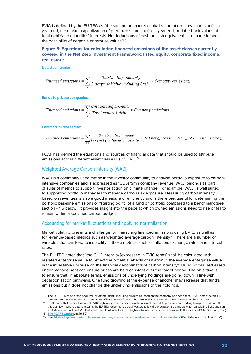EVIC is defined by the EU TEG as "the sum of the market capitalization of ordinary shares at fiscal year end, the market capitalization of preferred shares at fiscal year end, and the book values of total debt<sup>13</sup> and minorities' interests. No deductions of cash or cash equivalents are made to avoid the possibility of negative enterprise values.<sup>14"</sup>

### **Figure 6: Equations for calculating financed emissions of the asset classes currently covered in the Net Zero Investment Framework: listed equity, corporate fixed income, real estate**

**Listed companies:**

$$
Financial emissions = \sum_{c} \frac{Outside\,M}{Enterprise\,Value\, Including\, Cash_c} \times Company\, emissions_c
$$

**Bonds to private companies:**

$$
Financial emissions = \sum_{c} \frac{Outstanding\ amount_{c}}{Total\ equity + debt_{c}} \times Company\ emissions_{c}
$$

**Commercial real estate:**

 $\small\label{eq:1} Financial\ emission s = \sum_{b,e} \frac{Outside\ at\ onvath_b}{Property\ value\ at\ origination_b}\times Energy\ consumption_{b,e}\times Emission\ factor_e$ 

PCAF has defined the equations and sources of financial data that should be used to attribute emissions across different asset classes using EVIC15.

### Weighted Average Carbon Intensity (WACI)

WACI is a commonly used metric in the investor community to analyse portfolio exposure to carbonintensive companies and is expressed as tCO2e/\$mn company revenue. WACI belongs as part of suite of metrics to support investor action on climate change. For example, WACI is well suited to supporting portfolio managers to manage carbon risk exposure. Measuring carbon intensity based on revenues is also a good measure of efficiency and is therefore, useful for determining the portfolio baseline emissions or "starting point" of a fund or portfolio compared to a benchmark (see section 4.1.5 below). It provides insight into the pace at which owned emissions need to rise or fall to remain within a specified carbon budget.

### Accounting for market fluctuations and applying normalisation

Market volatility presents a challenge for measuring financed emissions using EVIC, as well as for revenue-based metrics such as weighted average carbon intensity<sup>16</sup>. There are a number of variables that can lead to instability in these metrics, such as inflation, exchange rates, and interest rates.

The EU TEG notes that "the GHG intensity [expressed in EVIC terms] shall be calculated with restated enterprise value to reflect the potential effects of inflation in the average enterprise value in the investable universe on the financial denominator of carbon intensity." Using normalised assets under management can ensure prices are held constant over the target period. The objective is to ensure that, in absolute terms, emissions of underlying holdings are going down in line with decarbonisation pathways. One fund growing at the expense of another may increase that fund's emissions but it does not change the underlying emissions of the holdings.

<sup>13</sup> The EU TEG refers to "the book values of total debt," including all debt as listed on the company balance sheet. PCAF notes that this is different from some accounting definitions of book value of debt, which exclude some elements like non-interest bearing debt.

<sup>14</sup> PCAF notes that some elements of EVIC might not yet be readily available to investors as data providers are working to align their data with this definition. Where data is missing, the EU TEG recommends that investors follow the precautionary principle when calculating EVIC and can exclude elements of the EVIC that would lead to a lower EVIC and higher attribution of financed emissions to the investor (PCAF Standard, p.50).

<sup>15</sup> **The PCAF Standard**, (p.49-50)

<sup>16</sup> See '**Misleading Footprints: Inflation and exchange rate effects in relative carbon disclosure metrics**' (De Nederlandsche Bank, 2021)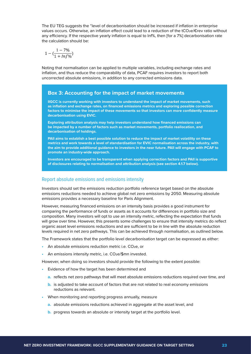The EU TEG suggests the "level of decarbonisation should be increased if inflation in enterprise values occurs. Otherwise, an inflation effect could lead to a reduction of the tCO2e/€rev ratio without any efficiency. If the respective yearly inflation is equal to Inf%, then [for a 7%] decarbonisation rate the calculation should be:

$$
1 - \left(\frac{1 - 7\%}{1 + ln f\%}\right)
$$

Noting that normalisation can be applied to multiple variables, including exchange rates and inflation, and thus reduce the comparability of data, PCAF requires investors to report both uncorrected absolute emissions, in addition to any corrected emissions data.

### **Box 3: Accounting for the impact of market movements**

**IIGCC is currently working with investors to understand the impact of market movements, such as inflation and exchange rates, on financed emissions metrics and exploring possible correction factors to minimise the impact of these movements so that investors can more confidently measure decarbonisation using EVIC.** 

**Exploring attribution analysis may help investors understand how financed emissions can be impacted by a number of factors such as market movements, portfolio reallocation, and decarbonisation of holdings.** 

**PAII aims to establish a best possible solution to reduce the impact of market volatility on these metrics and work towards a level of standardisation for EVIC normalisation across the industry, with the aim to provide additional guidance to investors in the near future. PAII will engage with PCAF to promote an industry-wide approach.**

**Investors are encouraged to be transparent when applying correction factors and PAII is supportive of disclosures relating to normalisation and attribution analysis (see section 4.1.7 below).** 

### Report absolute emissions and emissions intensity

Investors should set the emissions reduction portfolio reference target based on the absolute emissions reductions needed to achieve global net zero emissions by 2050. Measuring absolute emissions provides a necessary baseline for Paris Alignment.

However, measuring financed emissions on an intensity basis provides a good instrument for comparing the performance of funds or assets as it accounts for differences in portfolio size and composition. Many investors will opt to use an intensity metric, reflecting the expectation that funds will grow over time. However, this presents some challenges to ensure that intensity metrics do reflect organic asset level emissions reductions and are sufficient to be in line with the absolute reduction levels required in net zero pathways. This can be achieved through normalisation, as outlined below.

The Framework states that the portfolio level decarbonisation target can be expressed as either:

- An absolute emissions reduction metric *i.e.* CO<sub>2</sub>e, or
- **•** An emissions intensity metric, i.e. CO2e/\$mn invested.

However, when doing so investors should provide the following to the extent possible:

- **•** Evidence of how the target has been determined and
	- **a.** reflects net zero pathways that will meet absolute emissions reductions required over time, and
	- **b.** is adjusted to take account of factors that are not related to real economy emissions reductions as relevant.
- **•** When monitoring and reporting progress annually, measure
	- **a.** absolute emissions reductions achieved in aggregate at the asset level, and
	- **b.** progress towards an absolute or intensity target at the portfolio level.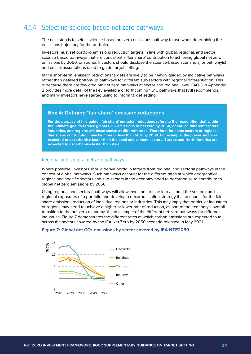# 4.1.4 Selecting science-based net zero pathways

The next step is to select science-based net zero emissions pathway to use when determining the emissions trajectory for the portfolio.

Investors must set portfolio emissions reduction targets in line with global, regional, and sector science-based pathways that are consistent a 'fair share' contribution to achieving global net zero emissions by 2050, or sooner. Investors should disclose the science-based scenario(s) or pathway(s) and critical assumptions used to guide target setting.

In the short-term, emission reductions targets are likely to be heavily guided by indicative pathways rather than detailed bottom-up pathways for different sub-sectors with regional differentiation. This is because there are few credible net zero pathways at sector and regional level. FAQ 3 in Appendix 2 provides more detail of the key available or forthcoming 1.5°C pathways that PAII recommends, and many investors have started using to inform target setting.

### **Box 4: Defining 'fair share' emission reductions**

**For the purpose of this guide, 'fair share' emission reductions refers to the recognition that within the ultimate goal to reduce global GHG emissions to net zero by 2050, or earlier, different sectors, industries, and regions will decarbonise at different rates. Therefore, for some sectors or regions a 'fair share' contribution may be more or less than 50% by 2050. For example, the power sector is expected to decarbonise faster than the steel and cement sectors. Europe and North America are expected to decarbonise faster than Asia.**

#### Regional and sectoral net zero pathways

Where possible, investors should derive portfolio targets from regional and sectoral pathways in the context of global pathways. Such pathways account for the different rates at which geographical regions and specific sectors and sub-sectors in the economy need to decarbonise to contribute to global net zero emissions by 2050.

Using regional and sectoral pathways will allow investors to take into account the sectoral and regional exposures of a portfolio and develop a decarbonisation strategy that accounts for the fair share emissions reduction of individual regions or industries. This may imply that particular industries or regions may need to achieve a higher or lower rate of reduction, as part of the economy's overall transition to the net zero economy. As an example of the different net zero pathways for differnet industries, Figure 7 demonstrates the different rates at which carbon emissions are expected to fall across the sectors covered by the IEA Net Zero by 2050 scenario released in May 2021.



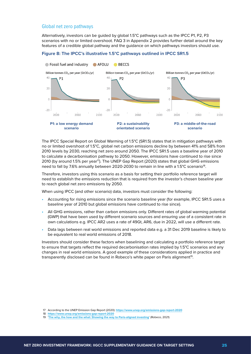### Global net zero pathways

Alternatively, investors can be guided by global 1.5°C pathways such as the IPCC P1, P2, P3 scenarios with no or limited overshoot. FAQ 3 in Appendix 2 provides further detail around the key features of a credible global pathway and the guidance on which pathways investors should use.

#### **Figure 8: The IPCC's illustrative 1.5°C pathways outlined in IPCC SR1.5**



The IPCC Special Report on Global Warming of 1.5°C (SR1.5) states that in mitigation pathways with no or limited overshoot of 1.5°C, global net carbon emissions decline by between 41% and 58% from 2010 levels by 2030, reaching net zero around 2050. The IPCC SR1.5 uses a baseline year of 2010 to calculate a decarbonisation pathway to 2050. However, emissions have continued to rise since 2010 (by around 1.5% per year<sup>17</sup>). The UNEP Gap Report (2020) states that global GHG emissions need to fall by 7.6% annually between 2020-2030 to remain in line with a 1.5 $^{\circ}$ C scenario<sup>18</sup>.

Therefore, investors using this scenario as a basis for setting their portfolio reference target will need to establish the emissions reduction that is required from the investor's chosen baseline year to reach global net zero emissions by 2050.

When using IPCC (and other scenario) data, investors must consider the following:

- **•** Accounting for rising emissions since the scenario baseline year (for example, IPCC SR1.5 uses a baseline year of 2010 but global emissions have continued to rise since).
- **•** All GHG emissions, rather than carbon emissions only. Different rates of global warming potential (GWP) that have been used by different scenario sources and ensuring use of a consistent rate in own calculations e.g. IPCC AR2 uses a rate of 49Gt, AR6, due in 2022, will use a different rate.
- **•** Data lags between real world emissions and reported data e.g. a 31 Dec 2019 baseline is likely to be equivalent to real world emissions of 2018.

Investors should consider these factors when baselining and calculating a portfolio reference target to ensure that targets reflect the required decarbonisation rates implied by 1.5°C scenarios and any changes in real world emissions. A good example of these considerations applied in practice and transparently disclosed can be found in Robeco's white paper on Paris alignment19.

<sup>17</sup> According to the UNEP Emission Gap Report (2020): **<https://www.unep.org/emissions-gap-report-2020>**

<sup>18</sup> **<https://www.unep.org/emissions-gap-report-2020>**

<sup>19 &#</sup>x27;**[The why, the how and the what: Showing the way to Paris-aligned investing](https://www.robeco.com/me/insights/2021/06/showing-the-way-to-paris-aligned-investing.html)**' (Robeco, 2021)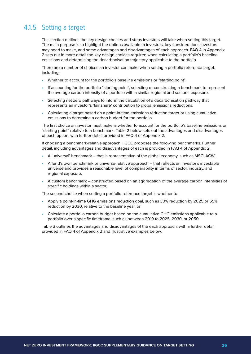# 4.1.5 Setting a target

This section outlines the key design choices and steps investors will take when setting this target. The main purpose is to highlight the options available to investors, key considerations investors may need to make, and some advantages and disadvantages of each approach. FAQ 4 in Appendix 2 sets out in more detail the key design choices required when calculating a portfolio's baseline emissions and determining the decarbonisation trajectory applicable to the portfolio.

There are a number of choices an investor can make when setting a portfolio reference target, including:

- **•** Whether to account for the portfolio's baseline emissions or "starting point".
- **•** If accounting for the portfolio "starting point", selecting or constructing a benchmark to represent the average carbon intensity of a portfolio with a similar regional and sectoral exposure.
- **•** Selecting net zero pathways to inform the calculation of a decarbonisation pathway that represents an investor's 'fair share' contribution to global emissions reductions.
- **•** Calculating a target based on a point-in-time emissions reduction target or using cumulative emissions to determine a carbon budget for the portfolio.

The first choice an investor must make is whether to account for the portfolio's baseline emissions or "starting point" relative to a benchmark. Table 2 below sets out the advantages and disadvantages of each option, with further detail provided in FAQ 4 of Appendix 2.

If choosing a benchmark-relative approach, IIGCC proposes the following benchmarks. Further detail, including advantages and disadvantages of each is provided in FAQ 4 of Appendix 2.

- **•** A 'universal' benchmark that is representative of the global economy, such as MSCI ACWI.
- **•** A fund's own benchmark or universe-relative approach that reflects an investor's investable universe and provides a reasonable level of comparability in terms of sector, industry, and regional exposure.
- **•** A custom benchmark constructed based on an aggregation of the average carbon intensities of specific holdings within a sector.

The second choice when setting a portfolio reference target is whether to:

- **•** Apply a point-in-time GHG emissions reduction goal, such as 30% reduction by 2025 or 55% reduction by 2030, relative to the baseline year, or
- **•** Calculate a portfolio carbon budget based on the cumulative GHG emissions applicable to a portfolio over a specific timeframe, such as between 2019 to 2025, 2030, or 2050.

Table 3 outlines the advantages and disadvantages of the each approach, with a further detail provided in FAQ 4 of Appendix 2 and illustrative examples below.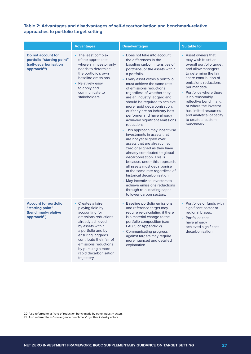# **Table 2: Advantages and disadvantages of self-decarbonisation and benchmark-relative approaches to portfolio target setting**

|                                                                                                       | <b>Advantages</b>                                                                                                                                                                                                                                                                     | <b>Disadvantages</b>                                                                                                                                                                                                                                                                                                                                                                                                                                                                                                                                                                                                                                                                                                                                                                                                                                                                                                                                                              | <b>Suitable for</b>                                                                                                                                                                                                                                                                                                                                                              |
|-------------------------------------------------------------------------------------------------------|---------------------------------------------------------------------------------------------------------------------------------------------------------------------------------------------------------------------------------------------------------------------------------------|-----------------------------------------------------------------------------------------------------------------------------------------------------------------------------------------------------------------------------------------------------------------------------------------------------------------------------------------------------------------------------------------------------------------------------------------------------------------------------------------------------------------------------------------------------------------------------------------------------------------------------------------------------------------------------------------------------------------------------------------------------------------------------------------------------------------------------------------------------------------------------------------------------------------------------------------------------------------------------------|----------------------------------------------------------------------------------------------------------------------------------------------------------------------------------------------------------------------------------------------------------------------------------------------------------------------------------------------------------------------------------|
| Do not account for<br>portfolio "starting point"<br>(self-decarbonisation<br>approach <sup>20</sup> ) | • The least complex<br>of the approaches<br>where an investor only<br>needs to determine<br>the portfolio's own<br>baseline emissions.<br>• Relatively easy<br>to apply and<br>communicate to<br>stakeholders.                                                                        | • Does not take into account<br>the differences in the<br>baseline carbon intensities of<br>portfolios, or the assets within<br>a portfolio.<br>• Every asset within a portfolio<br>must achieve the same rate<br>of emissions reductions<br>regardless of whether they<br>are an industry laggard and<br>should be required to achieve<br>more rapid decarbonisation,<br>or if they are an industry best<br>performer and have already<br>achieved significant emissions<br>reductions.<br>• This approach may incentivise<br>investments in assets that<br>are not yet aligned over<br>assets that are already net<br>zero or aligned as they have<br>already contributed to global<br>decarbonisation. This is<br>because, under this approach,<br>all assets must decarbonise<br>at the same rate regardless of<br>historical decarbonisation.<br>• May incentivise investors to<br>achieve emissions reductions<br>through re-allocating capital<br>to lower carbon sectors. | • Asset owners that<br>may wish to set an<br>overall portfolio target,<br>and allow managers<br>to determine the fair<br>share contribution of<br>emissions reductions<br>per mandate.<br>• Portfolios where there<br>is no reasonably<br>reflective benchmark,<br>or where the investor<br>has limited resources<br>and analytical capacity<br>to create a custom<br>benchmark. |
| <b>Account for portfolio</b><br>"starting point"<br>(benchmark-relative<br>approach <sup>21</sup> )   | • Creates a fairer<br>playing field by<br>accounting for<br>emissions reductions<br>already achieved<br>by assets within<br>a portfolio and by<br>ensuring laggards<br>contribute their fair of<br>emissions reductions<br>by pursuing a more<br>rapid decarbonisation<br>trajectory. | Baseline portfolio emissions<br>$\bullet$<br>and reference target may<br>require re-calculating if there<br>is a material change to the<br>portfolio composition (see<br>FAQ 5 of Appendix 2).<br>• Communicating progress<br>against targets may require<br>more nuanced and detailed<br>explanation.                                                                                                                                                                                                                                                                                                                                                                                                                                                                                                                                                                                                                                                                            | • Portfolios or funds with<br>significant sector or<br>regional biases.<br>• Portfolios that<br>have already<br>achieved significant<br>decarbonisation.                                                                                                                                                                                                                         |

20 Also referred to as 'rate-of reduction benchmark' by other industry actors. 21 Also referred to as 'convergence benchmark' by other industry actors.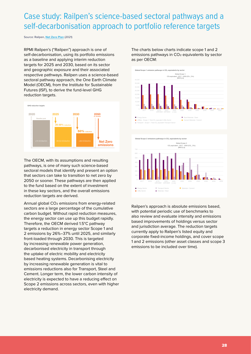# Case study: Railpen's science-based sectoral pathways and a self-decarbonisation approach to portfolio reference targets

Source: Railpen, **[Net Zero Plan](https://www.railpen.com/wp-content/uploads/2021/07/Railpen-Net-Zero-Plan.pdf)** (2021)

RPMI Railpen's ("Railpen") approach is one of self-decarbonisation, using its portfolio emissions as a baseline and applying interim reduction targets for 2025 and 2030, based on its sector and geographic exposure and their associated respective pathways. Railpen uses a science-based sectoral pathway approach, the One Earth Climate Model (OECM), from the Institute for Sustainable Futures (ISF), to derive the fund-level GHG reduction targets.



The OECM, with its assumptions and resulting pathways, is one of many such science-based sectoral models that identify and present an option that sectors can take to transition to net zero by 2050 or sooner. These pathways are then applied to the fund based on the extent of investment in these key sectors, and the overall emissions reduction targets are derived.

Annual global CO2 emissions from energy-related sectors are a large percentage of the cumulative carbon budget. Without rapid reduction measures, the energy sector can use up this budget rapidly. Therefore, the OECM derived 1.5°C pathway targets a reduction in energy sector Scope 1 and 2 emissions by 26%–37% until 2025, and similarly front-loaded through 2030. This is targeted by increasing renewable power generation, decarbonised electricity in transport through the uptake of electric mobility and electricity based heating systems. Decarbonising electricity by increasing renewable generation is vital to emissions reductions also for Transport, Steel and Cement. Longer term, the lower carbon intensity of electricity is expected to have a reducing effect on Scope 2 emissions across sectors, even with higher electricity demand.

The charts below charts indicate scope 1 and 2 emissions pathways in CO<sub>2</sub> equivalents by sector as per OECM:







Railpen's approach is absolute emissions based, with potential periodic use of benchmarks to also review and evaluate intensity and emissions based improvements of holdings versus sector and jurisdiction average. The reduction targets currently apply to Railpen's listed equity and corporate fixed-income holdings, and cover scope 1 and 2 emissions (other asset classes and scope 3 emissions to be included over time).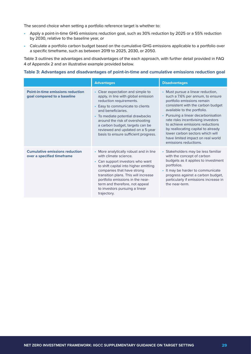The second choice when setting a portfolio reference target is whether to:

- **•** Apply a point-in-time GHG emissions reduction goal, such as 30% reduction by 2025 or a 55% reduction by 2030, relative to the baseline year, *or*
- **•** Calculate a portfolio carbon budget based on the cumulative GHG emissions applicable to a portfolio over a specific timeframe, such as between 2019 to 2025, 2030, or 2050.

Table 3 outlines the advantages and disadvantages of the each approach, with further detail provided in FAQ 4 of Appendix 2 and an illustrative example provided below.

### **Table 3: Advantages and disadvantages of point-in-time and cumulative emissions reduction goal**

|                                                                         | <b>Advantages</b>                                                                                                                                                                                                                                                                                                                               | <b>Disadvantages</b>                                                                                                                                                                                                                                                                                                                                                                                                                    |
|-------------------------------------------------------------------------|-------------------------------------------------------------------------------------------------------------------------------------------------------------------------------------------------------------------------------------------------------------------------------------------------------------------------------------------------|-----------------------------------------------------------------------------------------------------------------------------------------------------------------------------------------------------------------------------------------------------------------------------------------------------------------------------------------------------------------------------------------------------------------------------------------|
| <b>Point-in-time emissions reduction</b><br>goal compared to a baseline | Clear expectation and simple to<br>apply, in line with global emission<br>reduction requirements.<br>Easy to communicate to clients<br>and beneficiaries.<br>• To mediate potential drawbacks<br>around the risk of overshooting<br>a carbon budget, targets can be<br>reviewed and updated on a 5-year<br>basis to ensure sufficient progress. | Must pursue a linear reduction,<br>$\bullet$<br>such a 7.6% per annum, to ensure<br>portfolio emissions remain<br>consistent with the carbon budget<br>available to the portfolio.<br>Pursuing a linear decarbonisation<br>rate risks incentivising investors<br>to achieve emissions reductions<br>by reallocating capital to already<br>lower carbon sectors which will<br>have limited impact on real world<br>emissions reductions. |
| <b>Cumulative emissions reduction</b><br>over a specified timeframe     | • More analytically robust and in line<br>with climate science.<br>• Can support investors who want<br>to shift capital into higher emitting<br>companies that have strong<br>transition plans. This will increase<br>portfolio emissions in the near-<br>term and therefore, not appeal<br>to investors pursuing a linear<br>trajectory.       | • Stakeholders may be less familiar<br>with the concept of carbon<br>budgets as it applies to investment<br>portfolios.<br>It may be harder to communicate<br>$\bullet$<br>progress against a carbon budget,<br>particularly if emissions increase in<br>the near-term.                                                                                                                                                                 |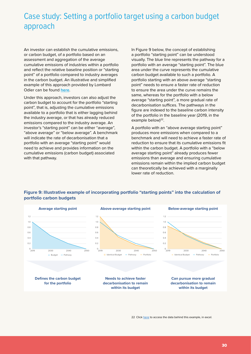# Case study: Setting a portfolio target using a carbon budget approach

An investor can establish the cumulative emissions, or carbon budget, of a portfolio based on an assessment and aggregation of the average cumulative emissions of industries within a portfolio and reflect the relative baseline position or "starting point" of a portfolio compared to industry averages in the carbon budget. An illustrative and simplified example of this approach provided by Lombard Odier can be found **[here](https://www.iigcc.org/resource/paii_fair-share-carbon-budget-approach/)**.

Under this approach, investors can also adjust the carbon budget to account for the portfolio "starting point", that is, adjusting the cumulative emissions available to a portfolio that is either lagging behind the industry average, or that has already reduced emissions compared to the industry average. An investor's "starting point" can be either "average", "above average" or "below average". A benchmark will indicate the rate of decarbonisation that a portfolio with an average "starting point" would need to achieve and provides information on the cumulative emissions (carbon budget) associated with that pathway.

In Figure 9 below, the concept of establishing a portfolio "starting point" can be understood visually. The blue line represents the pathway for a portfolio with an average "starting point". The blue area under the curve represents the cumulative carbon budget available to such a portfolio. A portfolio starting with an above average "starting point" needs to ensure a faster rate of reduction to ensure the area under the curve remains the same, whereas for the portfolio with a below average "starting point", a more gradual rate of decarbonisation suffices. The pathways in the figure are indexed to the baseline carbon intensity of the portfolio in the baseline year (2019, in the example below $)^{22}$ .

A portfolio with an "above average starting point" produces more emissions when compared to a benchmark and will need to achieve a faster rate of reduction to ensure that its cumulative emissions fit within the carbon budget. A portfolio with a "below average starting point" already produces fewer emissions than average and ensuring cumulative emissions remain within the implied carbon budget can theoretically be achieved with a marginally lower rate of reduction.



# **Figure 9: Illustrative example of incorporating portfolio "starting points" into the calculation of portfolio carbon budgets**

22 Click [here](https://www.iigcc.org/resource/paii-portfolio-starting-points/) to access the data behind this example, in excel.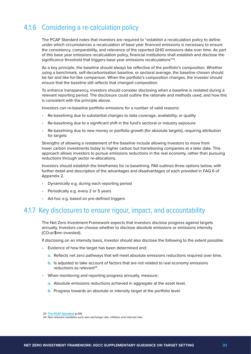# 4.1.6 Considering a re-calculation policy

The PCAF Standard notes that investors are required to "establish a recalculation policy to define under which circumstances a recalculation of base year financed emissions is necessary to ensure the consistency, comparability, and relevance of the reported GHG emissions data over time. As part of this base year emissions recalculation policy, financial institutions shall establish and disclose the significance threshold that triggers base year emissions recalculations"<sup>23</sup>.

As a key principle, the baseline should always be reflective of the portfolio's composition. Whether using a benchmark, self-decarbonisation baseline, or sectoral average, the baseline chosen should be fair and like-for-like comparison. When the portfolio's composition changes, the investor should ensure that the baseline still reflects that changed composition.

To enhance transparency, investors should consider disclosing when a baseline is restated during a relevant reporting period. The disclosure could outline the rationale and methods used, and how this is consistent with the principle above.

Investors can re-baseline portfolio emissions for a number of valid reasons:

- **•** Re-baselining due to substantial changes to data coverage, availability, or quality
- **•** Re-baselining due to a significant shift in the fund's sectoral or industry exposure
- **•** Re-baselining due to new money or portfolio growth (for absolute targets), requiring attribution for targets

Strengths of allowing a restatement of the baseline include allowing investors to move from lower carbon investments today to higher carbon but transitioning companies at a later date. This approach allows investors to pursue emissions reductions in the real economy, rather than pursuing reductions through sector re-allocations.

Investors should establish the timeframes for re-baselining. PAII outlines three options below, with further detail and description of the advantages and disadvantages of each provided in FAQ 6 of Appendix 2.

- **•** Dynamically e.g. during each reporting period
- **•** Periodically e.g. every 2 or 5 years
- **•** Ad-hoc e.g. based on pre-defined triggers

# 4.1.7 Key disclosures to ensure rigour, impact, and accountability

The Net Zero Investment Framework expects that investors disclose progress against targets annually. Investors can choose whether to disclose absolute emissions or emissions intensity (CO2e/\$mn invested).

If disclosing on an intensity basis, investor should also disclose the following to the extent possible:

- **•** Evidence of how the target has been determined and:
	- **a.** Reflects net zero pathways that will meet absolute emissions reductions required over time,
	- **b.** Is adjusted to take account of factors that are not related to real economy emissions reductions as relevant<sup>24</sup>.
- **•** When monitoring and reporting progress annually, measure:
	- **a.** Absolute emissions reductions achieved in aggregate at the asset level,
	- **b.** Progress towards an absolute or intensity target at the portfolio level.

<sup>23</sup> **[The PCAF Standard](https://carbonaccountingfinancials.com/files/downloads/PCAF-Global-GHG-Standard.pdf)** (p.99)

<sup>24</sup> Non-relevant variables such aws exchange rate, inflation and interest rate.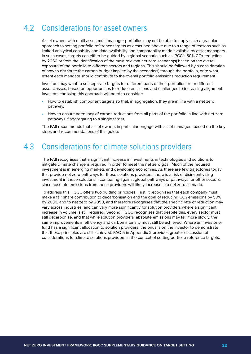# 4.2 Considerations for asset owners

Asset owners with multi-asset, multi-manager portfolios may not be able to apply such a granular approach to setting portfolio reference targets as described above due to a range of reasons such as limited analytical capability and data availability and comparability made available by asset managers. In such cases, targets can either be guided by a global scenario such as IPCC's 50% CO2 reduction by 2050 or from the identification of the most relevant net zero scenario(s) based on the overall exposure of the portfolio to different sectors and regions. This should be followed by a consideration of how to distribute the carbon budget implied by the scenario(s) through the portfolio, or to what extent each mandate should contribute to the overall portfolio emissions reduction requirement.

Investors may want to set separate targets for different parts of their portfolios or for different asset classes, based on opportunities to reduce emissions and challenges to increasing alignment. Investors choosing this approach will need to consider:

- **•** How to establish component targets so that, in aggregation, they are in line with a net zero pathway.
- **•** How to ensure adequacy of carbon reductions from all parts of the portfolio in line with net zero pathways if aggregating to a single target.

The PAII recommends that asset owners in particular engage with asset managers based on the key steps and recommendations of this guide.

# 4.3 Considerations for climate solutions providers

The PAII recognises that a significant increase in investments in technologies and solutions to mitigate climate change is required in order to meet the net zero goal. Much of the required investment is in emerging markets and developing economies. As there are few trajectories today that provide net zero pathways for these solutions providers, there is a risk of disincentivising investment in these solutions if comparing against global pathways or pathways for other sectors, since absolute emissions from these providers will likely increase in a net zero scenario.

To address this, IIGCC offers two guiding principles. First, it recognises that each company must make a fair share contribution to decarbonisation and the goal of reducing  $CO<sub>2</sub>$  emissions by 50% by 2030, and to net zero by 2050, and therefore recognises that the specific rate of reduction may vary across industries, and can vary more significantly for solution providers where a significant increase in volume is still required. Second, IIGCC recognises that despite this, every sector must still decarbonise, and that while solution providers' absolute emissions may fall more slowly, the same improvements in efficiency and carbon intensity must still be achieved. Where an investor or fund has a significant allocation to solution providers, the onus is on the investor to demonstrate that these principles are still achieved. FAQ 5 in Appendix 2 provides greater discussion of considerations for climate solutions providers in the context of setting portfolio reference targets.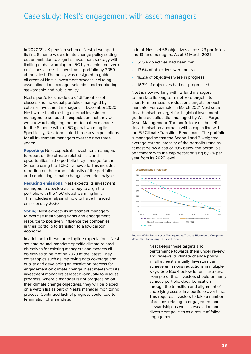# Case study: Nest's engagement with asset managers

In 2020/21 UK pension scheme, Nest, developed its first Scheme-wide climate change policy setting out an ambition to align its investment strategy with limiting global warming to 1.5C by reaching net zero emissions across its investment portfolio by 2050 at the latest. The policy was designed to guide all areas of Nest's investment process including asset allocation, manager selection and monitoring, stewardship and public policy.

Nest's portfolio is made up of different asset classes and individual portfolios managed by external investment managers. In December 2020 Nest wrote to all existing external investment managers to set out the expectation that they will work towards aligning the portfolio they manage for the Scheme with a 1.5C global warming limit. Specifically, Nest formulated three key expectations for all investment managers over the next three years:

Reporting: Nest expects its investment managers to report on the climate-related risks and opportunities in the portfolio they manage for the Scheme using the TCFD framework. This includes reporting on the carbon intensity of the portfolio and conducting climate change scenario analyses.

Reducing emissions: Nest expects its investment managers to develop a strategy to align the portfolio with the 1.5C global warming limit. This includes analysis of how to halve financed emissions by 2030.

**Voting:** Nest expects its investment managers to exercise their voting rights and engagement resource to positively influence the companies in their portfolio to transition to a low-carbon economy.

In addition to these three topline expectations, Nest set time-bound, mandate-specific climate-related objectives for existing managers and expects all objectives to be met by 2023 at the latest. They cover topics such as improving data coverage and quality and developing an escalation process for engagement on climate change. Nest meets with its investment managers at least bi-annually to discuss progress. Where a manager is not progressing on their climate change objectives, they will be placed on a watch list as part of Nest's manager monitoring process. Continued lack of progress could lead to termination of a mandate.

In total, Nest set 66 objectives across 23 portfolios and 13 fund managers. As at 31 March 2021:

- **•** 51.5% objectives had been met
- **•** 13.6% of objectives were on track
- **•** 18.2% of objectives were in progress
- **•** 16.7% of objectives had not progressed.

Nest is now working with its fund managers to translate its long-term net zero target into short-term emissions reductions targets for each mandate. For example, in March 2021 Nest set a decarbonisation target for its global investmentgrade credit allocation managed by Wells Fargo Asset Management. The portfolio uses the selfdecarbonisation approach with a cap in line with the EU Climate Transition Benchmark. The portfolio is managed so that the Scope 1 and 2 weighted average carbon intensity of the portfolio remains at least below a cap of 30% below the portfolio's benchmark with the cap decarbonising by 7% per year from its 2020 level.



Source: Wells Fargo Asset Management, Trucost, Bloomberg Company Materials, Bloomberg Barclays Indices

> Nest keeps these targets and performance towards them under review and reviews its climate change policy in full at least annually. Investors can achieve emissions reductions in multiple ways. See Box 4 below for an illustrative example of this. Investors should primarily achieve portfolio decarbonisation through the transition and alignment of underlying assets in a portfolio over time. This requires investors to take a number of actions relating to engagement and stewardship, as well as escalation and divestment policies as a result of failed engagement.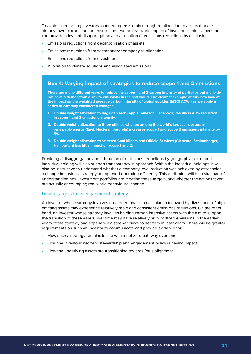To avoid incentivising investors to meet targets simply through re-allocation to assets that are already lower carbon, and to ensure and test the real world impact of investors' actions, investors can provide a level of disaggregation and attribution of emissions reductions by disclosing:

- **•** Emissions reductions from decarbonisation of assets
- **•** Emissions reductions from sector and/or company re-allocation
- **•** Emissions reductions from divestment
- **•** Allocation to climate solutions and associated emissions

## **Box 4: Varying impact of strategies to reduce scope 1 and 2 emissions**

**There are many different ways to reduce the scope 1 and 2 carbon intensity of portfolios but many do not have a demonstrable link to emissions in the real world. The clearest example of this is to look at the impact on the weighted average carbon intensity of global equities (MSCI ACWI) as we apply a series of carefully considered changes.**

- **1. Double weight allocation to large-cap tech (Apple, Amazon, Facebook) results in a 7% reduction in scope 1 and 2 emissions intensity.**
- **2. Double weight allocation to three utilities who are among the world's largest investors in renewable energy (Enel, Nextera, Iberdrola) increases scope 1 and scope 2 emissions intensity by 5%.**
- **3. Double weight allocation to selected Coal Miners and Oilfield Services (Glencore, Schlumberger, Halliburton) has little impact on scope 1 and 2.**

Providing a disaggregation and attribution of emissions reductions by geography, sector and individual holding will also support transparency in approach. Within the individual holdings, it will also be instructive to understand whether a company-level reduction was achieved by asset sales, a change in business strategy or improved operating efficiency. This attribution will be a vital part of understanding how investment portfolios are meeting these targets, and whether the actions taken are actually encouraging real world behavioural change.

### Linking targets to an engagement strategy

An investor whose strategy involves greater emphasis on escalation followed by divestment of high emitting assets may experience relatively rapid and consistent emissions reductions. On the other hand, an investor whose strategy involves holding carbon intensive assets with the aim to support the transition of these assets over time may have relatively high portfolio emissions in the earlier years of the strategy and experience a steeper curve to net zero in later years. There will be greater requirements on such an investor to communicate and provide evidence for:

- **•** How such a strategy remains in line with a net zero pathway over time.
- **•** How the investors' net zero stewardship and engagement policy is having impact.
- **•** How the underlying assets are transitioning towards Paris-alignment.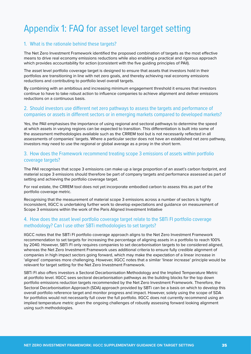# Appendix 1: FAQ for asset level target setting

### 1. What is the rationale behind these targets?

The Net Zero Investment Framework identified the proposed combination of targets as the most effective means to drive real economy emissions reductions while also enabling a practical and rigorous approach which provides accountability for action (consistent with the five guiding principles of PAII).

The asset level portfolio coverage target is designed to ensure that assets that investors hold in their portfolios are transitioning in line with net zero goals, and thereby achieving real economy emissions reductions and contributing to portfolio level overall targets.

By combining with an ambitious and increasing minimum engagement threshold it ensures that investors continue to have to take robust action to influence companies to achieve alignment and deliver emissions reductions on a continuous basis.

# 2. Should investors use different net zero pathways to assess the targets and performance of companies or assets in different sectors or in emerging markets compared to developed markets?

Yes, the PAII emphasises the importance of using regional and sectoral pathways to determine the speed at which assets in varying regions can be expected to transition. This differentiation is built into some of the assessment methodologies available such as the CRREM tool but is not necessarily reflected in all assessments of companies' targets. Where a particular sector does not have an established net zero pathway, investors may need to use the regional or global average as a proxy in the short term.

## 3. How does the Framework recommend treating scope 3 emissions of assets within portfolio coverage targets?

The PAII recognises that scope 3 emissions can make up a large proportion of an asset's carbon footprint, and material scope 3 emissions should therefore be part of company targets and performance assessed as part of setting and achieving the portfolio coverage target.

For real estate, the CRREM tool does not yet incorporate embodied carbon to assess this as part of the portfolio coverage metric.

Recognising that the measurement of material scope 3 emissions across a number of sectors is highly inconsistent, IIGCC is undertaking further work to develop expectations and guidance on measurement of Scope 3 emissions within the work of the Paris Aligned Investment Initiative

# 4. How does the asset level portfolio coverage target relate to the SBTi FI portfolio coverage methodology? Can I use other SBTi methodologies to set targets?

IIGCC notes that the SBTi FI portfolio coverage approach aligns to the Net Zero Investment Framework recommendation to set targets for increasing the percentage of aligning assets in a portfolio to reach 100% by 2040. However, SBTi FI only requires companies to set decarbonisation targets to be considered aligned, whereas the Net Zero Investment Framework uses additional criteria to ensure fully credible alignment of companies in high impact sectors going forward, which may make the expectation of a linear increase in 'aligned' companies more challenging. However, IIGCC notes that a similar 'linear increase' principle would be relevant for target setting for the Net Zero Investment Framework.

SBTi FI also offers investors a Sectoral Decarbonisation Methodology and the Implied Temperature Metric at portfolio level. IIGCC sees sectoral decarbonisation pathways as the building blocks for the top down portfolio emissions reduction targets recommended by the Net Zero Investment Framework. Therefore, the Sectoral Decarbonisation Approach (SDA) approach provided by SBTi can be a basis on which to develop this overall portfolio reference target and monitor progress and impact. However, solely using the scope of SDA for portfolios would not necessarily full cover the full portfolio. IIGCC does not currently recommend using an implied temperature metric given the ongoing challenges of robustly assessing forward looking alignment using such methodologies.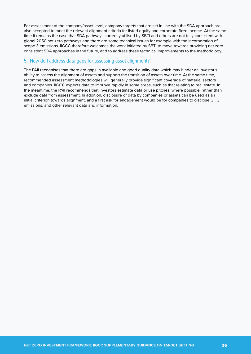scope 3 emissions. IIGCC therefore welcomes the work initiated by SBTi to move towards providing net zero consistent SDA approaches in the future, and to address these technical improvements to the methodology. For assessment at the company/asset level, company targets that are set in line with the SDA approach are also accepted to meet the relevant alignment criteria for listed equity and corporate fixed income. At the same time it remains the case that SDA pathways currently utilised by SBTi and others are not fully consistent with global 2050 net zero pathways and there are some technical issues for example with the incorporation of

# 5. How do I address data gaps for assessing asset alignment?

The PAII recognises that there are gaps in available and good quality data which may hinder an investor's ability to assess the alignment of assets and support the transition of assets over time. At the same time, recommended assessment methodologies will generally provide significant coverage of material sectors and companies. IIGCC expects data to improve rapidly in some areas, such as that relating to real estate. In the meantime, the PAII recommends that investors estimate data or use proxies, where possible, rather than exclude data from assessment. In addition, disclosure of data by companies or assets can be used as an initial criterion towards alignment, and a first ask for engagement would be for companies to disclose GHG emissions, and other relevant data and information.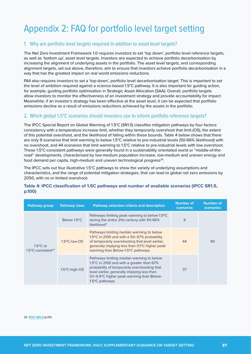# Appendix 2: FAQ for portfolio level target setting

# 1. Why are portfolio level targets required in addition to asset level targets?

The Net Zero Investment Framework 1.0 requires investors to set 'top down', portfolio level reference targets, as well as 'bottom up', asset level targets. Investors are expected to achieve portfolio decarbonisation by increasing the alignment of underlying assets in the portfolio. The asset level targets, and corresponding alignment targets, set out above, therefore, aim to ensure that investors achieve portfolio decarbonisation in a way that has the greatest impact on real world emissions reductions.

PAII also requires investors to set a 'top-down', portfolio level decarbonisation target. This is important to set the level of ambition required against a science-based 1.5°C pathway. It is also important for guiding action, for example, guiding portfolio optimisation in Strategic Asset Allocation (SAA). Overall, portfolio targets allow investors to monitor the effectiveness of an investment strategy and provide accountability for impact. Meanwhile, if an investor's strategy has been effective at the asset level, it can be expected that portfolio emissions decline as a result of emissions reductions achieved by the assets in the portfolio.

# 2. Which global 1.5°C scenarios should investors use to inform portfolio reference targets?

The IPCC Special Report on Global Warming of 1.5°C (SR1.5) classifies mitigation pathways by four factors: consistency with a temperature increase limit, whether they temporarily overshoot that limit (OS), the extent of this potential overshoot, and the likelihood of falling within these bounds. Table 4 below shows that there are only 9 scenarios that limit warming to below 1.5°C relative to pre-industrial levels (50-66% likelihood) with no overshoot, and 44 scenarios that limit warming to 1.5°C relative to pre-industrial levels with low overshoot. These 1.5°C-consistent pathways were generally found in a sustainability orientated world or "middle-of-theroad" developments, characterised by low-medium population increase, low-medium and uneven energy and food demand per capita, high-medium and uneven technological progress<sup>25</sup>.

The IPCC sets out four illustrative 1.5°C pathways to show the variety of underlying assumptions and characteristics, and the range of potential mitigation strategies, that can lead to global net zero emissions by 2050, with no or limited overshoot.

| Pathway group                                      | <b>Pathway class</b> | <b>Pathway selection criteria and description</b>                                                                                                                                                                                                               | <b>Number of</b><br><b>scenarios</b> | <b>Number of</b><br><b>scenarios</b> |
|----------------------------------------------------|----------------------|-----------------------------------------------------------------------------------------------------------------------------------------------------------------------------------------------------------------------------------------------------------------|--------------------------------------|--------------------------------------|
|                                                    | Below 1.5°C          | Pathways limiting peak warming to below 1.5°C<br>during the entire 21st century with 50-66%<br>likelihood*                                                                                                                                                      | 9                                    | 90                                   |
| $1.5^{\circ}$ C or<br>$1.5^{\circ}$ C-consistent** | 1.5°C-low-OS         | Pathways limiting median warming to below<br>1.5°C in 2100 and with a 50–67% probability<br>of temporarily overshooting that level earlier,<br>generally implying less than 0.1°C higher peak<br>warming than Below-1.5°C pathways                              | 44                                   |                                      |
|                                                    | 1.5°C-high-OS        | Pathways limiting median warming to below<br>1.5°C in 2100 and with a greater than 67%<br>probability of temporarily overshooting that<br>level earlier, generally implying less than<br>0.1–0.4 °C higher peak warming than Below-<br>$1.5^{\circ}$ C pathways | 37                                   |                                      |

# **Table 4: IPCC classification of 1.5C pathways and number of available scenarios (IPCC SR1.5, p.100)**

25 **[IPCC SR1.5](https://www.ipcc.ch/sr15/)** (p.110)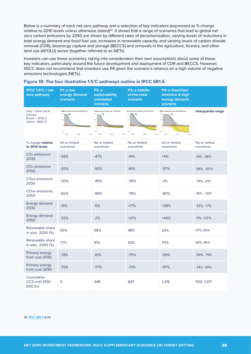Below is a summary of each net zero pathway and a selection of key indicators (expressed as % change relative to 2010 levels unless otherwise stated)<sup>26</sup>. It shows that a range of scenarios that lead to global net zero carbon emissions by 2050 are driven by different rates of decarbonisation, varying levels of reductions in total energy demand and fossil fuel use, increases in renewable capacity, and varying levels of carbon dioxide removal (CDR), bioenergy capture and storage (BECCS) and removals in the agriculture, forestry, and other land use (AFOLU) sector (together referred to as NETs).

Investors can use these scenarios, taking into consideration their own assumptions about some of these key indicators, particularly around the future development and deployment of CDR and BECCS. However, IIGCC does not recommend that investors use P4 given the scenario's reliance on a high volume of negative emissions technologies (NETs).

| IPCC 1.5°C / net<br>zero pathway                                      | P1: a low<br>energy demand<br>scenario                                                                       | P2: a<br>sustainability<br>orientated<br>scenario                                                                            | P3: a middle-<br>of-the-road<br>scenario                                                                     | P4: a fossil-fuel<br>intensive & high<br>energy demand<br>scenario                                                                 |                            |
|-----------------------------------------------------------------------|--------------------------------------------------------------------------------------------------------------|------------------------------------------------------------------------------------------------------------------------------|--------------------------------------------------------------------------------------------------------------|------------------------------------------------------------------------------------------------------------------------------------|----------------------------|
| Grey = fossil fuel $&$<br>industry<br>Brown = AFOLU<br>Yellow = BECCS | Billion tonnes CO <sub>2</sub> per year (GtCO <sub>2</sub> /yr)<br>P1<br>20<br>$-20$<br>2100<br>2020<br>2060 | Billion tonnes CO <sub>2</sub> per year (GtCO <sub>2</sub> /yr)<br>P <sub>2</sub><br>$20\,$<br>$-20$<br>2020<br>2060<br>2100 | Billion tonnes CO <sub>2</sub> per year (GtCO <sub>2</sub> /yr)<br>P3<br>20<br>$-20$<br>2020<br>2060<br>2100 | Billion tonnes CO <sub>2</sub> per year (GtCO <sub>2</sub> /yr)<br>40<br>P <sub>4</sub><br>$20\,$<br>$-20$<br>2060<br>2020<br>2100 | Interquartile range        |
| % change relative<br>to 2010 levels                                   | No or limited<br>overshoot                                                                                   | No or limited<br>overshoot                                                                                                   | No or limited<br>overshoot                                                                                   | No or limited<br>overshoot                                                                                                         | No or limited<br>overshoot |
| CO <sub>2</sub> emissions<br>2030                                     | $-58%$                                                                                                       | $-47%$                                                                                                                       | $-41%$                                                                                                       | $+4%$                                                                                                                              | $-14\%$ , $-58\%$          |
| CO <sub>2</sub> emissions<br>2050                                     | $-93%$                                                                                                       | $-95%$                                                                                                                       | $-91%$                                                                                                       | $-97%$                                                                                                                             | $-94\%$ , $-107\%$         |
| CO <sub>2</sub> e emissions<br>2030                                   | $-50%$                                                                                                       | $-49%$                                                                                                                       | $-35%$                                                                                                       | $-2%$                                                                                                                              | $-39\%$ , $-51\%$          |
| CO <sub>2</sub> e emissions<br>2050                                   | $-82%$                                                                                                       | $-89%$                                                                                                                       | $-78%$                                                                                                       | $-80%$                                                                                                                             | -81%, - 93%                |
| Energy demand<br>2030                                                 | $-15%$                                                                                                       | $-5%$                                                                                                                        | $+17%$                                                                                                       | $+39%$                                                                                                                             | $-12\%, +7\%$              |
| Energy demand<br>2050                                                 | $-32%$                                                                                                       | $-2%$                                                                                                                        | $+21%$                                                                                                       | $+44%$                                                                                                                             | $-11\%, +22\%$             |
| Renewable share<br>in elec. 2030 (%)                                  | 60%                                                                                                          | 58%                                                                                                                          | 48%                                                                                                          | 25%                                                                                                                                | 47%, 65%                   |
| Renewable share<br>in elec. 2050 (%)                                  | 77%                                                                                                          | 81%                                                                                                                          | 63%                                                                                                          | 70%                                                                                                                                | 69%, 86%                   |
| Primary energy<br>from coal 2030                                      | $-78%$                                                                                                       | $-61%$                                                                                                                       | $-75%$                                                                                                       | $-59%$                                                                                                                             | $-59\%$ , $-78\%$          |
| Primary energy<br>from coal 2050                                      | $-79%$                                                                                                       | $-77%$                                                                                                                       | $-73%$                                                                                                       | $-97%$                                                                                                                             | $-74\%$ , $-95\%$          |
| Cumulative<br>CCS until 2100<br>(GtCO <sub>2</sub> )                  | $\mathsf{O}\xspace$                                                                                          | 348                                                                                                                          | 687                                                                                                          | 1,218                                                                                                                              | 550, 1,017                 |

#### **Figure 10: The four illustrative 1.5***°***C pathways outline in IPCC SR1.5**

26 **[IPCC SR1.5](https://www.ipcc.ch/sr15/)** (p.14)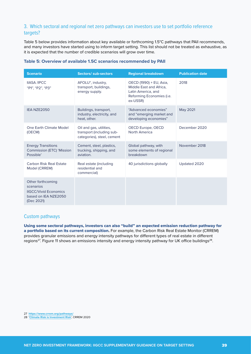# 3. Which sectoral and regional net zero pathways can investors use to set portfolio reference targets?

Table 5 below provides information about key available or forthcoming 1.5°C pathways that PAII recommends, and many investors have started using to inform target setting. This list should not be treated as exhaustive, as it is expected that the number of credible scenarios will grow over time.

| <b>Scenario</b>                                                                                      | Sectors/ sub-sectors                                                               | <b>Regional breakdown</b>                                                                                         | <b>Publication date</b> |
|------------------------------------------------------------------------------------------------------|------------------------------------------------------------------------------------|-------------------------------------------------------------------------------------------------------------------|-------------------------|
| <b>IIASA /IPCC</b><br>"P1", "P2", "P3"                                                               | AFOLU*, industry,<br>transport, buildings,<br>energy supply.                       | OECD (1990) + EU, Asia,<br>Middle East and Africa,<br>Latin America, and<br>Reforming Economies (i.e.<br>ex-USSR) | 2018                    |
| IEA NZE2050                                                                                          | Buildings, transport,<br>industry, electricity, and<br>heat, other.                | "Advanced economies"<br>and "emerging market and<br>developing economies"                                         | May 2021                |
| One Earth Climate Model<br>(OECM)                                                                    | Oil and gas, utilities,<br>transport (including sub-<br>categories), steel, cement | OECD Europe, OECD<br><b>North America</b>                                                                         | December 2020           |
| <b>Energy Transitions</b><br>Commission (ETC) 'Mission<br>Possible'                                  | Cement, steel, plastics,<br>trucking, shipping, and<br>aviation.                   | Global pathway, with<br>some elements of regional<br>breakdown                                                    | November 2018           |
| <b>Carbon Risk Real Estate</b><br>Model (CRREM)                                                      | Real estate (including<br>residential and<br>commercial)                           | 40 jurisdictions globally                                                                                         | Updated 2020            |
| Other forthcoming<br>scenarios<br><b>IIGCC/Vivid Economics</b><br>based on IEA NZE2050<br>(Dec 2021) |                                                                                    |                                                                                                                   |                         |

#### **Table 5: Overview of available 1.5C scenarios recommended by PAII**

### Custom pathways

Using some sectoral pathways, investors can also "build" an expected emission reduction pathway for a portfolio based on its current composition**.** For example, the Carbon Risk Real Estate Monitor (CRREM) provides granular emissions and energy intensity pathways for different types of real estate in different regions<sup>27</sup>. Figure 11 shows an emissions intensity and energy intensity pathway for UK office buildings<sup>28</sup>.

27 **<https://www.crrem.org/pathways/>**

28 '**[Climate Risk is Investment Risk](https://www.crrem.eu/wp-content/uploads/2020/05/CRREM-Introduction-2020-04-29-1.pdf)**', CRREM 2020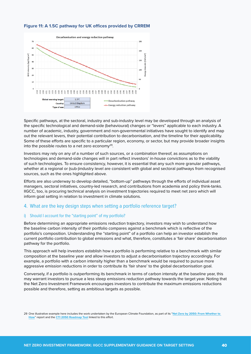#### **Figure 11: A 1.5C pathway for UK offices provided by CRREM**



number of academic, industry, government and non-governmental initiatives have sought to identify and map Specific pathways, at the sectoral, industry and sub-industry level may be developed through an analysis of the specific technological and demand-side (behavioural) changes or "levers" applicable to each industry. A out the relevant levers, their potential contribution to decarbonisation, and the timeline for their applicability. Some of these efforts are specific to a particular region, economy, or sector, but may provide broader insights into the possible routes to a net zero economy $29$ .

Investors may rely on any of a number of such sources, or a combination thereof, as assumptions on technologies and demand-side changes will in part reflect investors' in-house convictions as to the viability of such technologies. To ensure consistency, however, it is essential that any such more granular pathways, whether at a regional or (sub-)industry level are consistent with global and sectoral pathways from recognised sources, such as the ones highlighted above.

Efforts are also underway to develop detailed, "bottom-up" pathways through the efforts of individual asset managers, sectoral initiatives, country-led research, and contributions from academia and policy think-tanks. IIGCC, too, is procuring technical analysis on investment trajectories required to meet net zero which will inform goal setting in relation to investment in climate solutions.

### 4. What are the key design steps when setting a portfolio reference target?

#### i) Should I account for the "starting point" of my portfolio?

Before determining an appropriate emissions reduction trajectory, investors may wish to understand how the baseline carbon intensity of their portfolio compares against a benchmark which is reflective of the portfolio's composition. Understanding the "starting point" of a portfolio can help an investor establish the current portfolio contribution to global emissions and what, therefore, constitutes a 'fair share' decarbonisation pathway for the portfolio.

This approach will help investors establish how a portfolio is performing relative to a benchmark with similar composition at the baseline year and allow investors to adjust a decarbonisation trajectory accordingly. For example, a portfolio with a carbon intensity higher than a benchmark would be required to pursue more aggressive emission reductions in order to contribute its 'fair share' to the global decarbonisation goal.

Conversely, if a portfolio is outperforming its benchmark in terms of carbon intensity at the baseline year, this may warrant investors to pursue a less steep emissions reduction pathway towards the target year. Noting that the Net Zero Investment Framework encourages investors to contribute the maximum emissions reductions possible and therefore, setting as ambitious targets as possible.

<sup>29</sup> One illustrative example here includes the work undertaken by the European Climate Foundation, as part of its "**[Net Zero by 2050: From Whether to](https://europeanclimate.org/resources/a-net-zero-emission-european-society-is-within-reach-but-getting-there-starts-today-2/)  [How](https://europeanclimate.org/resources/a-net-zero-emission-european-society-is-within-reach-but-getting-there-starts-today-2/)**" report and the **[CTI 2050 Roadmap Tool](https://stakeholder.netzero2050.eu/)** linked to this effort.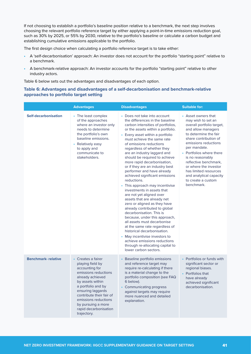If not choosing to establish a portfolio's baseline position relative to a benchmark, the next step involves choosing the relevant portfolio reference target by either applying a point-in-time emissions reduction goal, such as 30% by 2025, or 55% by 2030, relative to the portfolio's baseline or calculate a carbon budget and establishing cumulative emissions applicable to the portfolio.

The first design choice when calculating a portfolio reference target is to take either:

- **•** A 'self-decarbonisation' approach: An investor does not account for the portfolio "starting point" relative to a benchmark.
- **•** A benchmark-relative approach: An investor accounts for the portfolio "starting point" relative to other industry actors.

Table 6 below sets out the advantages and disadvantages of each option.

### **Table 6: Advantages and disadvantages of a self-decarbonisation and benchmark-relative approaches to portfolio target setting**

|                             | <b>Advantages</b>                                                                                                                                                                                                                                                                     | <b>Disadvantages</b>                                                                                                                                                                                                                                                                                                                                                                                                                                                                                                                                                                                                                                                                                                                                                                                                                                                                                                                                                           | <b>Suitable for:</b>                                                                                                                                                                                                                                                                                                                                                             |
|-----------------------------|---------------------------------------------------------------------------------------------------------------------------------------------------------------------------------------------------------------------------------------------------------------------------------------|--------------------------------------------------------------------------------------------------------------------------------------------------------------------------------------------------------------------------------------------------------------------------------------------------------------------------------------------------------------------------------------------------------------------------------------------------------------------------------------------------------------------------------------------------------------------------------------------------------------------------------------------------------------------------------------------------------------------------------------------------------------------------------------------------------------------------------------------------------------------------------------------------------------------------------------------------------------------------------|----------------------------------------------------------------------------------------------------------------------------------------------------------------------------------------------------------------------------------------------------------------------------------------------------------------------------------------------------------------------------------|
| <b>Self-decarbonisation</b> | • The least complex<br>of the approaches<br>where an investor only<br>needs to determine<br>the portfolio's own<br>baseline emissions.<br>• Relatively easy<br>to apply and<br>communicate to<br>stakeholders.                                                                        | • Does not take into account<br>the differences in the baseline<br>carbon intensities of portfolios,<br>or the assets within a portfolio.<br>• Every asset within a portfolio<br>must achieve the same rate<br>of emissions reductions<br>regardless of whether they<br>are an industry laggard and<br>should be required to achieve<br>more rapid decarbonisation,<br>or if they are an industry best<br>performer and have already<br>achieved significant emissions<br>reductions.<br>• This approach may incentivise<br>investments in assets that<br>are not yet aligned over<br>assets that are already net<br>zero or aligned as they have<br>already contributed to global<br>decarbonisation. This is<br>because, under this approach,<br>all assets must decarbonise<br>at the same rate regardless of<br>historical decarbonisation.<br>• May incentivise investors to<br>achieve emissions reductions<br>through re-allocating capital to<br>lower carbon sectors. | • Asset owners that<br>may wish to set an<br>overall portfolio target,<br>and allow managers<br>to determine the fair<br>share contribution of<br>emissions reductions<br>per mandate.<br>• Portfolios where there<br>is no reasonably<br>reflective benchmark,<br>or where the investor<br>has limited resources<br>and analytical capacity<br>to create a custom<br>benchmark. |
| <b>Benchmark-relative</b>   | • Creates a fairer<br>playing field by<br>accounting for<br>emissions reductions<br>already achieved<br>by assets within<br>a portfolio and by<br>ensuring laggards<br>contribute their fair of<br>emissions reductions<br>by pursuing a more<br>rapid decarbonisation<br>trajectory. | • Baseline portfolio emissions<br>and reference target may<br>require re-calculating if there<br>is a material change to the<br>portfolio composition (see FAQ<br>6 below).<br>• Communicating progress<br>against targets may require<br>more nuanced and detailed<br>explanation.                                                                                                                                                                                                                                                                                                                                                                                                                                                                                                                                                                                                                                                                                            | • Portfolios or funds with<br>significant sector or<br>regional biases.<br>• Portfolios that<br>have already<br>achieved significant<br>decarbonisation.                                                                                                                                                                                                                         |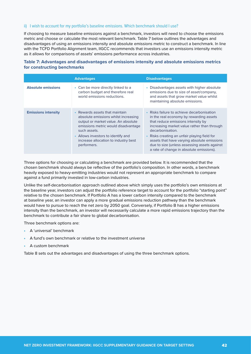#### ii) I wish to account for my portfolio's baseline emissions. Which benchmark should I use?

If choosing to measure baseline emissions against a benchmark, investors will need to choose the emissions metric and choose or calculate the most relevant benchmark. Table 7 below outlines the advantages and disadvantages of using an emissions intensity and absolute emissions metric to construct a benchmark. In line with the TCFD Portfolio Alignment team, IIGCC recommends that investors use an emissions intensity metric as it allows for comparisons of assets' emissions performance across industries.

### **Table 7: Advantages and disadvantages of emissions intensity and absolute emissions metrics for constructing benchmarks**

|                            | <b>Advantages</b>                                                                                                                                                                                                                                                 | <b>Disadvantages</b>                                                                                                                                                                                                                                                                                                                                                                  |
|----------------------------|-------------------------------------------------------------------------------------------------------------------------------------------------------------------------------------------------------------------------------------------------------------------|---------------------------------------------------------------------------------------------------------------------------------------------------------------------------------------------------------------------------------------------------------------------------------------------------------------------------------------------------------------------------------------|
| <b>Absolute emissions</b>  | • Can be more directly linked to a<br>carbon budget and therefore real<br>world emissions reductions.                                                                                                                                                             | • Disadvantages assets with higher absolute<br>emissions due to size of asset/company.<br>and assets that grow market value whilst<br>maintaining absolute emissions.                                                                                                                                                                                                                 |
| <b>Emissions intensity</b> | • Rewards assets that maintain<br>absolute emissions whilst increasing<br>output or market value. An absolute<br>emissions metric would disadvantage<br>such assets.<br>• Allows investors to identify and<br>increase allocation to industry best<br>performers. | Risks failure to achieve decarbonisation<br>in the real economy by rewarding assets<br>that reduce emissions intensity by<br>increasing market value rather than through<br>decarbonisation.<br>Risks creating an unfair playing field for<br>assets that have varying absolute emissions<br>due to size (unless assessing assets against<br>a rate of change in absolute emissions). |

Three options for choosing or calculating a benchmark are provided below. It is recommended that the chosen benchmark should always be reflective of the portfolio's composition. In other words, a benchmark heavily exposed to heavy-emitting industries would not represent an appropriate benchmark to compare against a fund primarily invested in low-carbon industries.

Unlike the self-decarbonisation approach outlined above which simply uses the portfolio's own emissions at the baseline year, investors can adjust the portfolio reference target to account for the portfolio "starting point" relative to the chosen benchmark. If Portfolio A has a lower carbon intensity compared to the benchmark at baseline year, an investor can apply a more gradual emissions reduction pathway than the benchmark would have to pursue to reach the net zero by 2050 goal. Conversely, if Portfolio B has a higher emissions intensity than the benchmark, an investor will necessarily calculate a more rapid emissions trajectory than the benchmark to contribute a fair share to global decarbonisation.

Three benchmark options are:

- **•** A 'universal' benchmark
- **•** A fund's own benchmark or relative to the investment universe
- **•** A custom benchmark

Table 8 sets out the advantages and disadvantages of using the three benchmark options.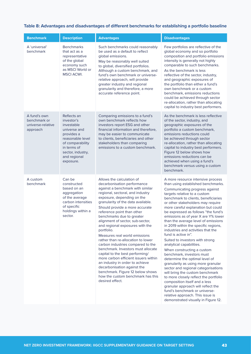# **Table 8: Advantages and disadvantages of different benchmarks for establishing a portfolio baseline**

| <b>Benchmark</b>                                              | <b>Description</b>                                                                                                                                                             | <b>Advantages</b>                                                                                                                                                                                                                                                                                                                                                                                                                                                                                                                                                                                                                                                                                                                                                                 | <b>Disadvantages</b>                                                                                                                                                                                                                                                                                                                                                                                                                                                                                                                                                                                                                                                                                                                                                                                                                                                                                                                                                                          |
|---------------------------------------------------------------|--------------------------------------------------------------------------------------------------------------------------------------------------------------------------------|-----------------------------------------------------------------------------------------------------------------------------------------------------------------------------------------------------------------------------------------------------------------------------------------------------------------------------------------------------------------------------------------------------------------------------------------------------------------------------------------------------------------------------------------------------------------------------------------------------------------------------------------------------------------------------------------------------------------------------------------------------------------------------------|-----------------------------------------------------------------------------------------------------------------------------------------------------------------------------------------------------------------------------------------------------------------------------------------------------------------------------------------------------------------------------------------------------------------------------------------------------------------------------------------------------------------------------------------------------------------------------------------------------------------------------------------------------------------------------------------------------------------------------------------------------------------------------------------------------------------------------------------------------------------------------------------------------------------------------------------------------------------------------------------------|
| A 'universal'<br>benchmark                                    | <b>Benchmarks</b><br>that act as a<br>representative<br>of the global<br>economy such<br>as MSCI World or<br><b>MSCI ACWI.</b>                                                 | Such benchmarks could reasonably<br>be used as a default to reflect<br>global emissions.<br>May be reasonably well suited<br>to global, diversified portfolios.<br>Although a custom benchmark, and<br>fund's own benchmark or universe-<br>relative approach, will provide<br>greater industry and regional<br>granularity and therefore, a more<br>accurate reference point.                                                                                                                                                                                                                                                                                                                                                                                                    | Few portfolios are reflective of the<br>global economy and so portfolio<br>composition and portfolio emissions<br>intensity is generally not highly<br>comparable to such benchmarks.<br>As the benchmark is less<br>reflective of the sector, industry,<br>and geographic exposures of<br>the portfolio than either a fund's<br>own benchmark or a custom<br>benchmark, emissions reductions<br>could be achieved through sector<br>re-allocation, rather than allocating<br>capital to industry best performers.                                                                                                                                                                                                                                                                                                                                                                                                                                                                            |
| A fund's own<br>benchmark or<br>universe-relative<br>approach | Reflects an<br>investor's<br>investable<br>universe and<br>provides a<br>reasonable level<br>of comparability<br>in terms of<br>sector, industry,<br>and regional<br>exposure. | Comparing emissions to a fund's<br>own benchmark reflects how<br>investors report ESG and other<br>financial information and therefore,<br>may be easier to communicate<br>to clients, beneficiaries and other<br>stakeholders than comparing<br>emissions to a custom benchmark.                                                                                                                                                                                                                                                                                                                                                                                                                                                                                                 | As the benchmark is less reflective<br>of the sector, industry, and<br>geographic exposures of the<br>portfolio a custom benchmark,<br>emissions reductions could<br>be achieved through sector<br>re-allocation, rather than allocating<br>capital to industry best performers.<br>Figure 12 below shows how<br>emissions reductions can be<br>achieved when using a fund's<br>benchmark versus using a custom<br>benchmark.                                                                                                                                                                                                                                                                                                                                                                                                                                                                                                                                                                 |
| A custom<br>benchmark                                         | Can be<br>constructed<br>based on an<br>aggregation<br>of the average<br>carbon intensities<br>of specific<br>holdings within a<br>sector.                                     | Allows the calculation of<br>decarbonisation performance<br>against a benchmark with similar<br>regional, sectoral, and industry<br>exposure, depending on the<br>granularity of the data available.<br>Should provide a more accurate<br>reference point than other<br>benchmarks due to greater<br>alignment of sector, sub-sector,<br>and regional exposures with the<br>portfolio.<br>Measures real world emissions<br>rather than re-allocation to lower<br>carbon industries compared to the<br>benchmark. Investors must allocate<br>capital to the best performing/<br>more carbon efficient issuers within<br>an industry in order to achieve<br>decarbonisation against the<br>benchmark. Figure 12 below shows<br>how the custom benchmark has this<br>desired effect. | A more resource intensive process<br>than using established benchmarks.<br>Communicating progress against<br>targets relative to a custom<br>benchmark to clients, beneficiaries<br>or other stakeholders may require<br>more careful explanation but could<br>be expressed as follows "the fund's<br>emissions as of year X are Y% lower<br>than the average level of emissions<br>in 2019 within the specific regions,<br>industries and activities that the<br>fund is active in".<br>Suited to investors with strong<br>analytical capabilities.<br>When constructing a custom<br>benchmark, investors must<br>determine the optimal level of<br>granularity as using more granular<br>sector and regional categorisations<br>will bring the custom benchmark<br>to more closely reflect the portfolio<br>composition itself and a less<br>granular approach will reflect the<br>fund's benchmark or universe-<br>relative approach. This issue is<br>demonstrated visually in Figure 12. |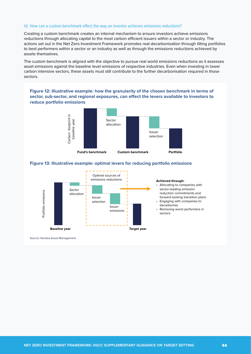#### iii) How can a custom benchmark effect the way an investor achieves emissions reductions?

Creating a custom benchmark creates an internal mechanism to ensure investors achieve emissions reductions through allocating capital to the most carbon efficient issuers within a sector or industry. The actions set out in the Net Zero Investment Framework promotes real decarbonisation through tilting portfolios to best performers *within* a sector or an industry as well as through the emissions reductions achieved by assets themselves.

The custom benchmark is aligned with the objective to pursue real world emissions reductions as it assesses asset emissions against the baseline level emissions of respective industries. Even when investing in lower carbon intensive sectors, these assets must still contribute to the further decarbonisation required in those sectors.

**Figure 12: Illustrative example: how the granularity of the chosen benchmark in terms of sector, sub-sector, and regional exposures, can effect the levers available to investors to reduce portfolio emissions**



#### **Figure 13: Illustrative example: optimal levers for reducing portfolio emissions**



Source: Nordea Asset Management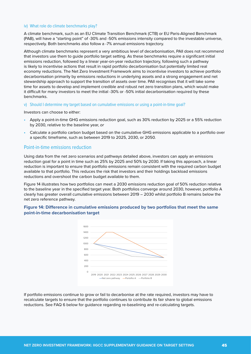#### iv) What role do climate benchmarks play?

A climate benchmark, such as an EU Climate Transition Benchmark (CTB) or EU Paris-Aligned Benchmark (PAB), will have a "starting point" of -30% and -50% emissions intensity compared to the investable universe, respectively. Both benchmarks also follow a -7% annual emissions trajectory.

Although climate benchmarks represent a very ambitious level of decarbonisation, PAII does not recommend that investors use them to guide portfolio target setting. As these benchmarks require a significant initial emissions reduction, followed by a linear year-on-year reduction trajectory, following such a pathway is likely to incentivise actions that result in rapid portfolio decarbonisation but potentially limited real economy reductions. The Net Zero Investment Framework aims to incentivise investors to achieve portfolio decarbonisation primarily by emissions reductions in underlying assets and a strong engagement and net stewardship approach to support the transition of assets over time. PAII recognises that it will take some time for assets to develop and implement credible and robust net zero transition plans, which would make it difficult for many investors to meet the initial -30% or -50% initial decarbonisation required by these benchmarks.

#### v) Should I determine my target based on cumulative emissions or using a point-in-time goal?

Investors can choose to either:

- **•** Apply a point-in-time GHG emissions reduction goal, such as 30% reduction by 2025 or a 55% reduction by 2030, relative to the baseline year, *or*
- **•** Calculate a portfolio carbon budget based on the cumulative GHG emissions applicable to a portfolio over a specific timeframe, such as between 2019 to 2025, 2030, or 2050.

### Point-in-time emissions reduction

Using data from the net zero scenarios and pathways detailed above, investors can apply an emissions reduction goal for a point in time such as 25% by 2025 and 50% by 2030. If taking this approach, a linear reduction is important to ensure that portfolio emissions remain consistent with the required carbon budget available to that portfolio. This reduces the risk that investors and their holdings backload emissions reductions and overshoot the carbon budget available to them.

Figure 14 illustrates how two portfolios can meet a 2030 emissions reduction goal of 50% reduction relative to the baseline year in the specified target year. Both portfolios converge around 2030, however, portfolio A clearly has greater overall cumulative emissions between 2019 – 2030 whilst portfolio B remains below the net zero reference pathway.

**Figure 14: Difference in cumulative emissions produced by two portfolios that meet the same point-in-time decarbonisation target**



If portfolio emissions continue to grow or fail to decarbonise at the rate required, investors may have to recalculate targets to ensure that the portfolio continues to contribute its fair share to global emissions reductions. See FAQ 6 below for guidance regarding re-baselining and re-calculating targets.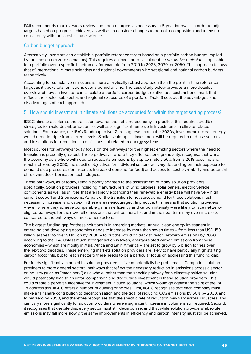PAII recommends that investors review and update targets as necessary at 5-year intervals, in order to adjust targets based on progress achieved, as well as to consider changes to portfolio composition and to ensure consistency with the latest climate science.

# Carbon budget approach

Alternatively, investors can establish a portfolio reference target based on a portfolio carbon budget implied by the chosen net zero scenario(s). This requires an investor to calculate the *cumulative emissions* applicable to a portfolio over a specific timeframes, for example from 2019 to 2025, 2030, or 2050. This approach follows that of international climate scientists and national governments who set global and national carbon budgets, respectively.

Accounting for cumulative emissions is more analytically robust approach than the point-in-time reference target as it tracks total emissions over a period of time. The case study below provides a more detailed overview of how an investor can calculate a portfolio carbon budget relative to a custom benchmark that reflects the sector, sub-sector, and regional exposures of a portfolio. Table 3 sets out the advantages and disadvantages of each approach.

# 5. How should investment in climate solutions be accounted for within the target setting process?

IIGCC aims to accelerate the transition towards the net zero economy. In practice, this requires credible strategies for rapid decarbonisation, as well as a significant ramp-up in investments in climate-related solutions. For instance, the IEA's Roadmap to Net Zero suggests that in the 2020s, investment in clean energy would need to triple from current levels. Similar scale-ups in investment will be required in end-use sectors, and in solutions for reductions in emissions not related to energy systems.

Most sources for pathways today focus on the pathways for the highest emitting sectors where the need to transition is presently greatest. These pathways, where they offer sectoral granularity, recognise that while the economy as a whole will need to reduce its emissions by approximately 50% from a 2019 baseline and reach net zero by 2050, the specific objectives for individual sectors will vary depending on their exposure to demand-side pressures (for instance, increased demand for food) and access to, cost, availability and potential of relevant decarbonisation technologies.

These pathways, as of today, remain poorly adapted to the assessment of many solution providers, specifically. Solution providers including manufacturers of wind turbines, solar panels, electric vehicle components as well as utilities that are rapidly expanding their renewable energy base will have very high current scope 1 and 2 emissions. As part of the transition to net zero, demand for these solutions must necessarily increase, and capex in these areas encouraged. In practice, this means that solution providers – even where they achieve comparable gains in efficiency and carbon intensity – are likely to face net zeroaligned pathways for their overall emissions that will be more flat and in the near term may even increase, compared to the pathways of most other sectors.

The biggest funding gap for these solutions is in emerging markets. Annual clean energy investment in emerging and developing economies needs to increase by more than seven times – from less than USD 150 billion last year to over \$1 trillion by 2030 – to put the world on track to reach net-zero emissions by 2050, according to the IEA. Unless much stronger action is taken, energy-related carbon emissions from these economies – which are mostly in Asia, Africa and Latin America – are set to grow by 5 billion tonnes over the next two decades. These emerging markets solution providers are likely to have particularly high starting carbon footprints, but to reach net zero there needs to be a particular focus on addressing this funding gap.

For funds significantly exposed to solution providers, this can potentially be problematic. Comparing solution providers to more general sectoral pathways that reflect the necessary reduction in emissions across a sector or industry (such as "machinery") as a whole, rather than the specific pathway for a climate-positive solution, would potentially lead to an unfair comparison and discourage investment in these solution providers. This could create a perverse incentive for investment in such solutions, which would go against the spirit of the PAII. To address this, IIGCC offers a number of guiding principles. First, IIGCC recognises that each company must make a fair share contribution to decarbonisation and the goal of reducing CO<sub>2</sub> emissions by 50% by 2030, and to net zero by 2050, and therefore recognises that the specific rate of reduction may vary across industries, and can vary more significantly for solution providers where a significant increase in volume is still required. Second, it recognises that despite this, every sector must still decarbonise, and that while solution providers' absolute emissions may fall more slowly, the same improvements in efficiency and carbon intensity must still be achieved.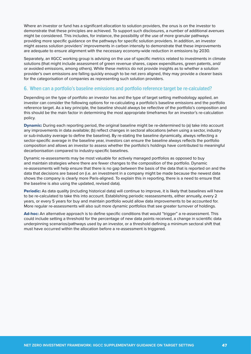Where an investor or fund has a significant allocation to solution providers, the onus is on the investor to demonstrate that these principles are achieved. To support such disclosures, a number of additional avenues might be considered. This includes, for instance, the possibility of the use of more granular pathways providing more specific guidance on the pathways for specific solution providers. In addition, an investor might assess solution providers' improvements in carbon intensity to demonstrate that these improvements are adequate to ensure alignment with the necessary economy-wide reduction in emissions by 2030.

Separately, an IIGCC working group is advising on the use of specific metrics related to investments in climate solutions (that might include assessment of green revenue shares, capex expenditures, green patents, and/ or avoided emissions, among others). While these metrics do not provide insights as to whether a solution provider's own emissions are falling quickly enough to be net zero aligned, they may provide a clearer basis for the categorisation of companies as representing such solution providers.

### 6. When can a portfolio's baseline emissions and portfolio reference target be re-calculated?

Depending on the type of portfolio an investor has and the type of target setting methodology applied, an investor can consider the following options for re-calculating a portfolio's baseline emissions and the portfolio reference target. As a key principle, the baseline should always be reflective of the portfolio's composition and this should be the main factor in determining the most appropriate timeframes for an investor's re-calculation policy.

**Dynamic:** During each reporting period, the original baseline might be re-determined to (a) take into account any improvements in data available; (b) reflect changes in sectoral allocations (when using a sector, industry or sub-industry average to define the baseline). By re-stating the baseline dynamically, always reflecting a sector-specific average in the baseline year, investors can ensure the baseline always reflects the portfolio composition and allows an investor to assess whether the portfolio's holdings have contributed to meaningful decarbonisation compared to industry-specific baselines.

Dynamic re-assessments may be most valuable for actively managed portfolios as opposed to buy and maintain strategies where there are fewer changes to the composition of the portfolio. Dynamic re-assessments will help ensure that there is no gap between the basis of the data that is reported on and the data that decisions are based on (i.e. an investment in a company might be made because the newest data shows the company is clearly more Paris-aligned. To explain this in reporting, there is a need to ensure that the baseline is also using the updated, revised data).

Periodic: As data quality (including historical data) will continue to improve, it is likely that baselines will have to be re-calculated to take this into account. Establishing periodic reassessments, either annually, every 2 years, or every 5 years for buy and maintain portfolio would allow data improvements to be accounted for. More regular re-assessments will also suit more dynamic portfolios that see greater turnover of holdings.

Ad-hoc: An alternative approach is to define specific conditions that would "trigger" a re-assessment. This could include setting a threshold for the percentage of new data points received, a change in scientific data underpinning scenarios/pathways used by an investor, or a threshold defining a minimum sectoral shift that must have occurred within the allocation before a re-assessment is triggered.